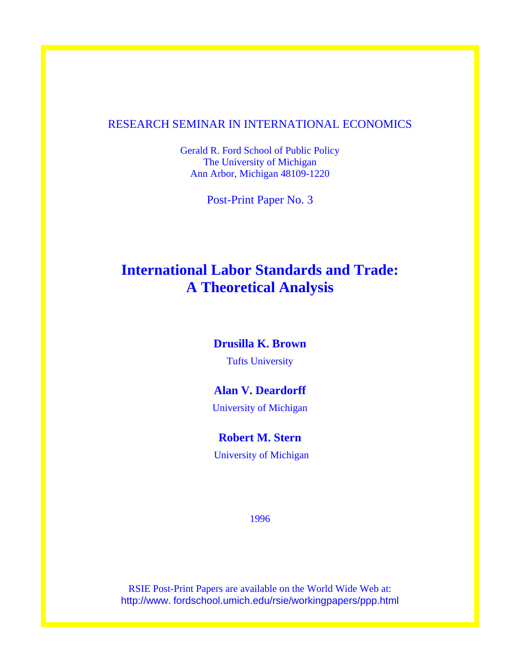## RESEARCH SEMINAR IN INTERNATIONAL ECONOMICS

Gerald R. Ford School of Public Policy The University of Michigan Ann Arbor, Michigan 48109-1220

Post-Print Paper No. 3

# **International Labor Standards and Trade: A Theoretical Analysis**

# **Drusilla K. Brown**

Tufts University

## **Alan V. Deardorff**

University of Michigan

## **Robert M. Stern**

University of Michigan

1996

RSIE Post-Print Papers are available on the World Wide Web at: http://www. fordschool.umich.edu/rsie/workingpapers/ppp.html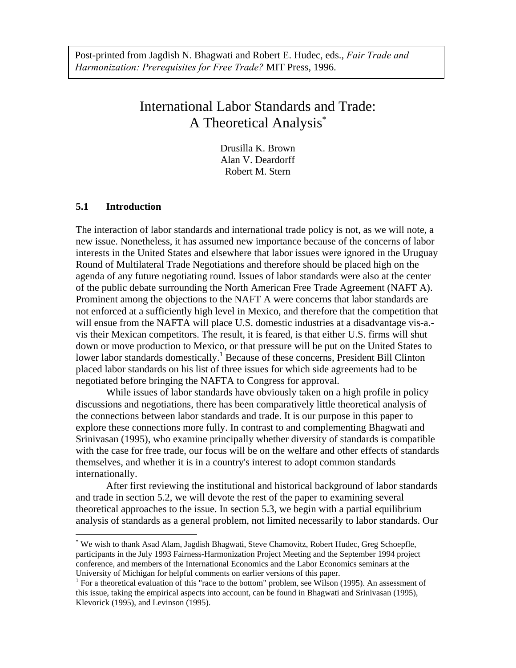# International Labor Standards and Trade: A Theoretical Analysis**[\\*](#page-1-0)**

Drusilla K. Brown Alan V. Deardorff Robert M. Stern

## **5.1 Introduction**

<u>.</u>

The interaction of labor standards and international trade policy is not, as we will note, a new issue. Nonetheless, it has assumed new importance because of the concerns of labor interests in the United States and elsewhere that labor issues were ignored in the Uruguay Round of Multilateral Trade Negotiations and therefore should be placed high on the agenda of any future negotiating round. Issues of labor standards were also at the center of the public debate surrounding the North American Free Trade Agreement (NAFT A). Prominent among the objections to the NAFT A were concerns that labor standards are not enforced at a sufficiently high level in Mexico, and therefore that the competition that will ensue from the NAFTA will place U.S. domestic industries at a disadvantage vis-a. vis their Mexican competitors. The result, it is feared, is that either U.S. firms will shut down or move production to Mexico, or that pressure will be put on the United States to lower labor standards domestically.<sup>[1](#page-1-1)</sup> Because of these concerns, President Bill Clinton placed labor standards on his list of three issues for which side agreements had to be negotiated before bringing the NAFTA to Congress for approval.

While issues of labor standards have obviously taken on a high profile in policy discussions and negotiations, there has been comparatively little theoretical analysis of the connections between labor standards and trade. It is our purpose in this paper to explore these connections more fully. In contrast to and complementing Bhagwati and Srinivasan (1995), who examine principally whether diversity of standards is compatible with the case for free trade, our focus will be on the welfare and other effects of standards themselves, and whether it is in a country's interest to adopt common standards internationally.

After first reviewing the institutional and historical background of labor standards and trade in section 5.2, we will devote the rest of the paper to examining several theoretical approaches to the issue. In section 5.3, we begin with a partial equilibrium analysis of standards as a general problem, not limited necessarily to labor standards. Our

<span id="page-1-0"></span><sup>\*</sup> We wish to thank Asad Alam, Jagdish Bhagwati, Steve Chamovitz, Robert Hudec, Greg Schoepfle, participants in the July 1993 Fairness-Harmonization Project Meeting and the September 1994 project conference, and members of the International Economics and the Labor Economics seminars at the University of Michigan for helpful comments on earlier versions of this paper. 1

<span id="page-1-1"></span><sup>&</sup>lt;sup>1</sup> For a theoretical evaluation of this "race to the bottom" problem, see Wilson (1995). An assessment of this issue, taking the empirical aspects into account, can be found in Bhagwati and Srinivasan (1995), Klevorick (1995), and Levinson (1995).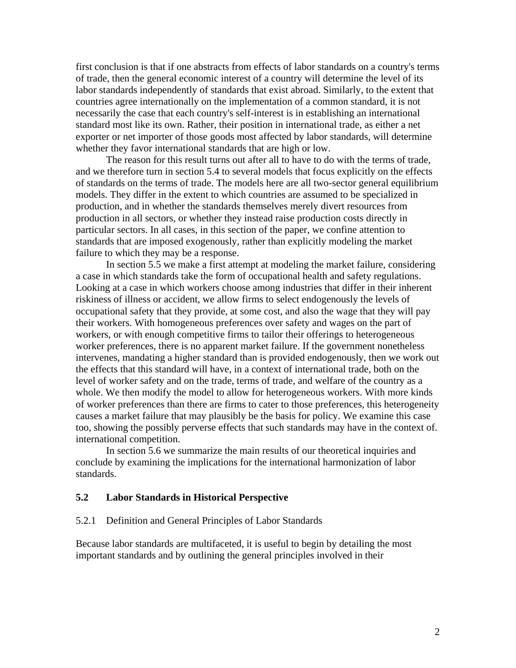first conclusion is that if one abstracts from effects of labor standards on a country's terms of trade, then the general economic interest of a country will determine the level of its labor standards independently of standards that exist abroad. Similarly, to the extent that countries agree internationally on the implementation of a common standard, it is not necessarily the case that each country's self-interest is in establishing an international standard most like its own. Rather, their position in international trade, as either a net exporter or net importer of those goods most affected by labor standards, will determine whether they favor international standards that are high or low.

The reason for this result turns out after all to have to do with the terms of trade, and we therefore turn in section 5.4 to several models that focus explicitly on the effects of standards on the terms of trade. The models here are all two-sector general equilibrium models. They differ in the extent to which countries are assumed to be specialized in production, and in whether the standards themselves merely divert resources from production in all sectors, or whether they instead raise production costs directly in particular sectors. In all cases, in this section of the paper, we confine attention to standards that are imposed exogenously, rather than explicitly modeling the market failure to which they may be a response.

In section 5.5 we make a first attempt at modeling the market failure, considering a case in which standards take the form of occupational health and safety regulations. Looking at a case in which workers choose among industries that differ in their inherent riskiness of illness or accident, we allow firms to select endogenously the levels of occupational safety that they provide, at some cost, and also the wage that they will pay their workers. With homogeneous preferences over safety and wages on the part of workers, or with enough competitive firms to tailor their offerings to heterogeneous worker preferences, there is no apparent market failure. If the government nonetheless intervenes, mandating a higher standard than is provided endogenously, then we work out the effects that this standard will have, in a context of international trade, both on the level of worker safety and on the trade, terms of trade, and welfare of the country as a whole. We then modify the model to allow for heterogeneous workers. With more kinds of worker preferences than there are firms to cater to those preferences, this heterogeneity causes a market failure that may plausibly be the basis for policy. We examine this case too, showing the possibly perverse effects that such standards may have in the context of. international competition.

In section 5.6 we summarize the main results of our theoretical inquiries and conclude by examining the implications for the international harmonization of labor standards.

#### **5.2 Labor Standards in Historical Perspective**

#### 5.2.1 Definition and General Principles of Labor Standards

Because labor standards are multifaceted, it is useful to begin by detailing the most important standards and by outlining the general principles involved in their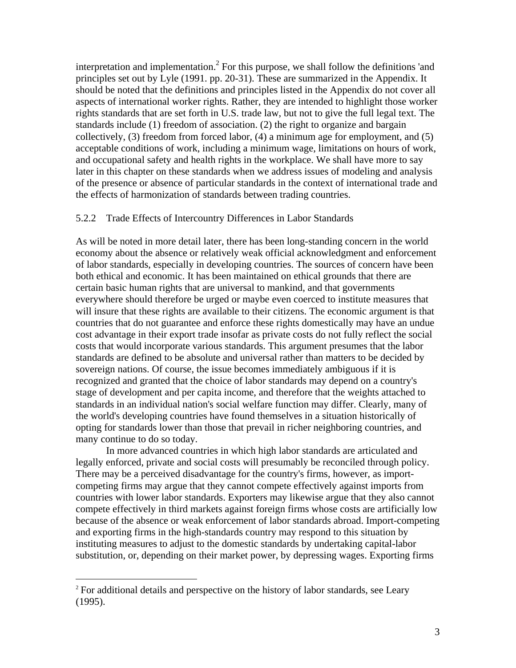interpretation and implementation.<sup>[2](#page-3-0)</sup> For this purpose, we shall follow the definitions 'and principles set out by Lyle (1991. pp. 20-31). These are summarized in the Appendix. It should be noted that the definitions and principles listed in the Appendix do not cover all aspects of international worker rights. Rather, they are intended to highlight those worker rights standards that are set forth in U.S. trade law, but not to give the full legal text. The standards include (1) freedom of association. (2) the right to organize and bargain collectively, (3) freedom from forced labor, (4) a minimum age for employment, and (5) acceptable conditions of work, including a minimum wage, limitations on hours of work, and occupational safety and health rights in the workplace. We shall have more to say later in this chapter on these standards when we address issues of modeling and analysis of the presence or absence of particular standards in the context of international trade and the effects of harmonization of standards between trading countries.

## 5.2.2 Trade Effects of Intercountry Differences in Labor Standards

As will be noted in more detail later, there has been long-standing concern in the world economy about the absence or relatively weak official acknowledgment and enforcement of labor standards, especially in developing countries. The sources of concern have been both ethical and economic. It has been maintained on ethical grounds that there are certain basic human rights that are universal to mankind, and that governments everywhere should therefore be urged or maybe even coerced to institute measures that will insure that these rights are available to their citizens. The economic argument is that countries that do not guarantee and enforce these rights domestically may have an undue cost advantage in their export trade insofar as private costs do not fully reflect the social costs that would incorporate various standards. This argument presumes that the labor standards are defined to be absolute and universal rather than matters to be decided by sovereign nations. Of course, the issue becomes immediately ambiguous if it is recognized and granted that the choice of labor standards may depend on a country's stage of development and per capita income, and therefore that the weights attached to standards in an individual nation's social welfare function may differ. Clearly, many of the world's developing countries have found themselves in a situation historically of opting for standards lower than those that prevail in richer neighboring countries, and many continue to do so today.

In more advanced countries in which high labor standards are articulated and legally enforced, private and social costs will presumably be reconciled through policy. There may be a perceived disadvantage for the country's firms, however, as importcompeting firms may argue that they cannot compete effectively against imports from countries with lower labor standards. Exporters may likewise argue that they also cannot compete effectively in third markets against foreign firms whose costs are artificially low because of the absence or weak enforcement of labor standards abroad. Import-competing and exporting firms in the high-standards country may respond to this situation by instituting measures to adjust to the domestic standards by undertaking capital-labor substitution, or, depending on their market power, by depressing wages. Exporting firms

 $\overline{a}$ 

<span id="page-3-0"></span> $2^2$  For additional details and perspective on the history of labor standards, see Leary (1995).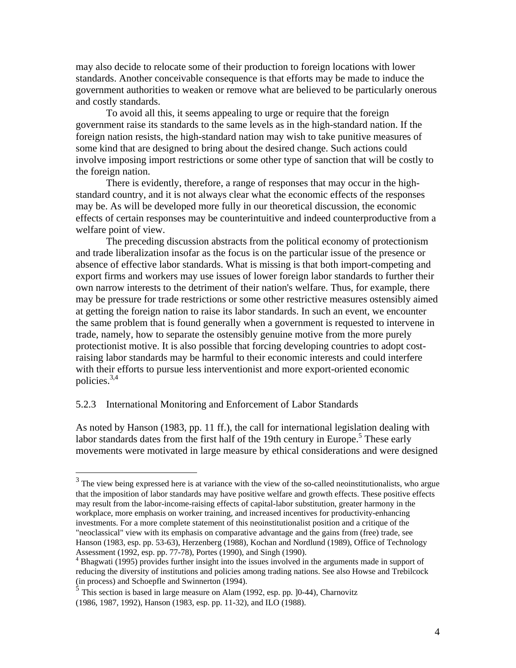may also decide to relocate some of their production to foreign locations with lower standards. Another conceivable consequence is that efforts may be made to induce the government authorities to weaken or remove what are believed to be particularly onerous and costly standards.

To avoid all this, it seems appealing to urge or require that the foreign government raise its standards to the same levels as in the high-standard nation. If the foreign nation resists, the high-standard nation may wish to take punitive measures of some kind that are designed to bring about the desired change. Such actions could involve imposing import restrictions or some other type of sanction that will be costly to the foreign nation.

There is evidently, therefore, a range of responses that may occur in the highstandard country, and it is not always clear what the economic effects of the responses may be. As will be developed more fully in our theoretical discussion, the economic effects of certain responses may be counterintuitive and indeed counterproductive from a welfare point of view.

The preceding discussion abstracts from the political economy of protectionism and trade liberalization insofar as the focus is on the particular issue of the presence or absence of effective labor standards. What is missing is that both import-competing and export firms and workers may use issues of lower foreign labor standards to further their own narrow interests to the detriment of their nation's welfare. Thus, for example, there may be pressure for trade restrictions or some other restrictive measures ostensibly aimed at getting the foreign nation to raise its labor standards. In such an event, we encounter the same problem that is found generally when a government is requested to intervene in trade, namely, how to separate the ostensibly genuine motive from the more purely protectionist motive. It is also possible that forcing developing countries to adopt costraising labor standards may be harmful to their economic interests and could interfere with their efforts to pursue less interventionist and more export-oriented economic policies. $3,4$  $3,4$ 

### 5.2.3 International Monitoring and Enforcement of Labor Standards

<u>.</u>

As noted by Hanson (1983, pp. 11 ff.), the call for international legislation dealing with labor standards dates from the first half of the 19th century in Europe.<sup>[5](#page-4-2)</sup> These early movements were motivated in large measure by ethical considerations and were designed

<span id="page-4-0"></span> $3$  The view being expressed here is at variance with the view of the so-called neoinstitutionalists, who argue that the imposition of labor standards may have positive welfare and growth effects. These positive effects may result from the labor-income-raising effects of capital-labor substitution, greater harmony in the workplace, more emphasis on worker training, and increased incentives for productivity-enhancing investments. For a more complete statement of this neoinstitutionalist position and a critique of the "neoclassical" view with its emphasis on comparative advantage and the gains from (free) trade, see Hanson (1983, esp. pp. 53-63), Herzenberg (1988), Kochan and Nordlund (1989), Office of Technology Assessment (1992, esp. pp. 77-78), Portes (1990), and Singh (1990). <sup>4</sup>

<span id="page-4-1"></span><sup>&</sup>lt;sup>4</sup> Bhagwati (1995) provides further insight into the issues involved in the arguments made in support of reducing the diversity of institutions and policies among trading nations. See also Howse and Trebilcock (in process) and Schoepfle and Swinnerton (1994).<br> $5$  This section is based in large measure on Alam (1992, esp. pp. ]0-44), Charnovitz

<span id="page-4-2"></span><sup>(1986, 1987, 1992),</sup> Hanson (1983, esp. pp. 11-32), and ILO (1988).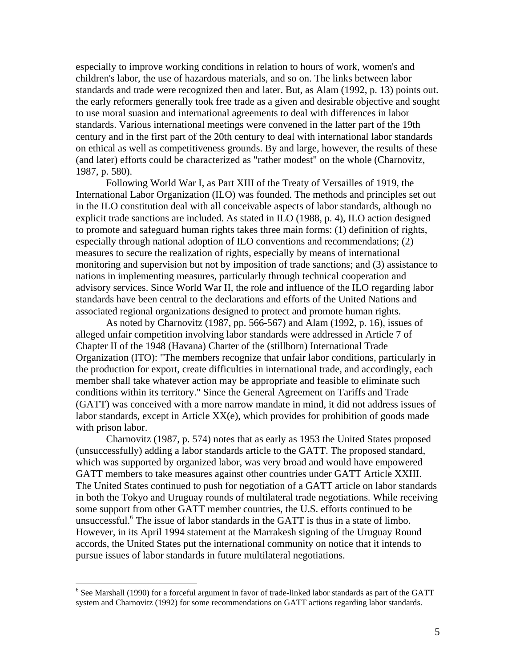especially to improve working conditions in relation to hours of work, women's and children's labor, the use of hazardous materials, and so on. The links between labor standards and trade were recognized then and later. But, as Alam (1992, p. 13) points out. the early reformers generally took free trade as a given and desirable objective and sought to use moral suasion and international agreements to deal with differences in labor standards. Various international meetings were convened in the latter part of the 19th century and in the first part of the 20th century to deal with international labor standards on ethical as well as competitiveness grounds. By and large, however, the results of these (and later) efforts could be characterized as "rather modest" on the whole (Charnovitz, 1987, p. 580).

Following World War I, as Part XIII of the Treaty of Versailles of 1919, the International Labor Organization (ILO) was founded. The methods and principles set out in the ILO constitution deal with all conceivable aspects of labor standards, although no explicit trade sanctions are included. As stated in ILO (1988, p. 4), ILO action designed to promote and safeguard human rights takes three main forms: (1) definition of rights, especially through national adoption of ILO conventions and recommendations; (2) measures to secure the realization of rights, especially by means of international monitoring and supervision but not by imposition of trade sanctions; and (3) assistance to nations in implementing measures, particularly through technical cooperation and advisory services. Since World War II, the role and influence of the ILO regarding labor standards have been central to the declarations and efforts of the United Nations and associated regional organizations designed to protect and promote human rights.

As noted by Charnovitz (1987, pp. 566-567) and Alam (1992, p. 16), issues of alleged unfair competition involving labor standards were addressed in Article 7 of Chapter II of the 1948 (Havana) Charter of the (stillborn) International Trade Organization (ITO): "The members recognize that unfair labor conditions, particularly in the production for export, create difficulties in international trade, and accordingly, each member shall take whatever action may be appropriate and feasible to eliminate such conditions within its territory." Since the General Agreement on Tariffs and Trade (GATT) was conceived with a more narrow mandate in mind, it did not address issues of labor standards, except in Article  $XX(e)$ , which provides for prohibition of goods made with prison labor.

Charnovitz (1987, p. 574) notes that as early as 1953 the United States proposed (unsuccessfully) adding a labor standards article to the GATT. The proposed standard, which was supported by organized labor, was very broad and would have empowered GATT members to take measures against other countries under GATT Article XXIII. The United States continued to push for negotiation of a GATT article on labor standards in both the Tokyo and Uruguay rounds of multilateral trade negotiations. While receiving some support from other GATT member countries, the U.S. efforts continued to be unsuccessful.<sup>6</sup>The issue of labor standards in the GATT is thus in a state of limbo. However, in its April 1994 statement at the Marrakesh signing of the Uruguay Round accords, the United States put the international community on notice that it intends to pursue issues of labor standards in future multilateral negotiations.

1

<span id="page-5-0"></span><sup>&</sup>lt;sup>6</sup> See Marshall (1990) for a forceful argument in favor of trade-linked labor standards as part of the GATT system and Charnovitz (1992) for some recommendations on GATT actions regarding labor standards.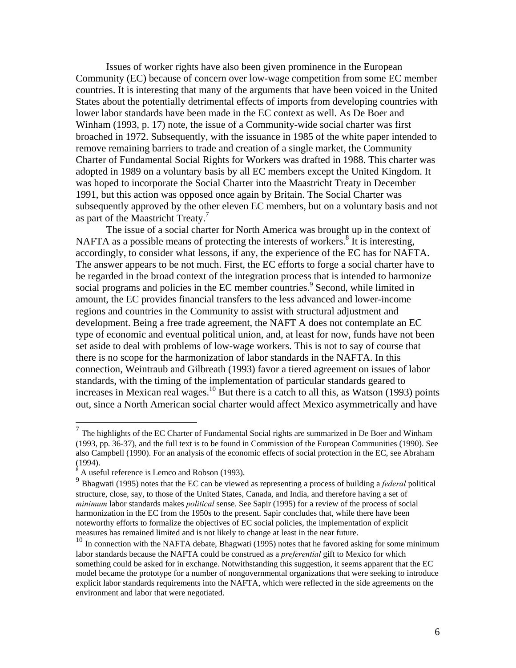Issues of worker rights have also been given prominence in the European Community (EC) because of concern over low-wage competition from some EC member countries. It is interesting that many of the arguments that have been voiced in the United States about the potentially detrimental effects of imports from developing countries with lower labor standards have been made in the EC context as well. As De Boer and Winham (1993, p. 17) note, the issue of a Community-wide social charter was first broached in 1972. Subsequently, with the issuance in 1985 of the white paper intended to remove remaining barriers to trade and creation of a single market, the Community Charter of Fundamental Social Rights for Workers was drafted in 1988. This charter was adopted in 1989 on a voluntary basis by all EC members except the United Kingdom. It was hoped to incorporate the Social Charter into the Maastricht Treaty in December 1991, but this action was opposed once again by Britain. The Social Charter was subsequently approved by the other eleven EC members, but on a voluntary basis and not as part of the Maastricht Treaty.<sup>7</sup>

The issue of a social charter for North America was brought up in the context of NAFTA as a possible means of protecting the interests of workers.<sup>8</sup> It is interesting, accordingly, to consider what lessons, if any, the experience of the EC has for NAFTA. The answer appears to be not much. First, the EC efforts to forge a social charter have to be regarded in the broad context of the integration process that is intended to harmonize social programs and policies in the EC member countries.<sup>[9](#page-6-2)</sup> Second, while limited in amount, the EC provides financial transfers to the less advanced and lower-income regions and countries in the Community to assist with structural adjustment and development. Being a free trade agreement, the NAFT A does not contemplate an EC type of economic and eventual political union, and, at least for now, funds have not been set aside to deal with problems of low-wage workers. This is not to say of course that there is no scope for the harmonization of labor standards in the NAFTA. In this connection, Weintraub and Gilbreath (1993) favor a tiered agreement on issues of labor standards, with the timing of the implementation of particular standards geared to increases in Mexican real wages.<sup>10</sup> But there is a catch to all this, as Watson (1993) points out, since a North American social charter would affect Mexico asymmetrically and have

 $\overline{a}$ 

<span id="page-6-0"></span> $7$  The highlights of the EC Charter of Fundamental Social rights are summarized in De Boer and Winham (1993, pp. 36-37), and the full text is to be found in Commission of the European Communities (1990). See also Campbell (1990). For an analysis of the economic effects of social protection in the EC, see Abraham (1994).<br> $8$  A useful reference is Lemco and Robson (1993).

<span id="page-6-1"></span>

<span id="page-6-2"></span><sup>&</sup>lt;sup>9</sup> Bhagwati (1995) notes that the EC can be viewed as representing a process of building a *federal* political structure, close, say, to those of the United States, Canada, and India, and therefore having a set of *minimum* labor standards makes *political* sense. See Sapir (1995) for a review of the process of social harmonization in the EC from the 1950s to the present. Sapir concludes that, while there have been noteworthy efforts to formalize the objectives of EC social policies, the implementation of explicit measures has remained limited and is not likely to change at least in the near future.

<span id="page-6-3"></span> $10$  In connection with the NAFTA debate, Bhagwati (1995) notes that he favored asking for some minimum labor standards because the NAFTA could be construed as a *preferential* gift to Mexico for which something could be asked for in exchange. Notwithstanding this suggestion, it seems apparent that the EC model became the prototype for a number of nongovernmental organizations that were seeking to introduce explicit labor standards requirements into the NAFTA, which were reflected in the side agreements on the environment and labor that were negotiated.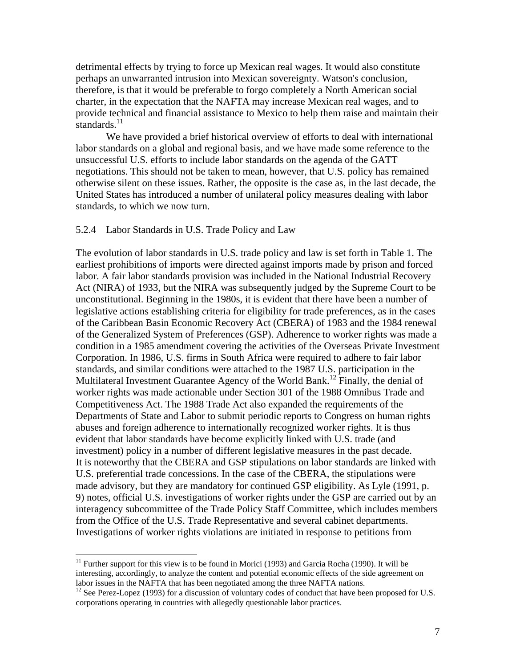detrimental effects by trying to force up Mexican real wages. It would also constitute perhaps an unwarranted intrusion into Mexican sovereignty. Watson's conclusion, therefore, is that it would be preferable to forgo completely a North American social charter, in the expectation that the NAFTA may increase Mexican real wages, and to provide technical and financial assistance to Mexico to help them raise and maintain their standards. $^{11}$ 

We have provided a brief historical overview of efforts to deal with international labor standards on a global and regional basis, and we have made some reference to the unsuccessful U.S. efforts to include labor standards on the agenda of the GATT negotiations. This should not be taken to mean, however, that U.S. policy has remained otherwise silent on these issues. Rather, the opposite is the case as, in the last decade, the United States has introduced a number of unilateral policy measures dealing with labor standards, to which we now turn.

#### 5.2.4 Labor Standards in U.S. Trade Policy and Law

1

The evolution of labor standards in U.S. trade policy and law is set forth in Table 1. The earliest prohibitions of imports were directed against imports made by prison and forced labor. A fair labor standards provision was included in the National Industrial Recovery Act (NIRA) of 1933, but the NIRA was subsequently judged by the Supreme Court to be unconstitutional. Beginning in the 1980s, it is evident that there have been a number of legislative actions establishing criteria for eligibility for trade preferences, as in the cases of the Caribbean Basin Economic Recovery Act (CBERA) of 1983 and the 1984 renewal of the Generalized System of Preferences (GSP). Adherence to worker rights was made a condition in a 1985 amendment covering the activities of the Overseas Private Investment Corporation. In 1986, U.S. firms in South Africa were required to adhere to fair labor standards, and similar conditions were attached to the 1987 U.S. participation in the Multilateral Investment Guarantee Agency of the World Bank.<sup>12</sup> Finally, the denial of worker rights was made actionable under Section 301 of the 1988 Omnibus Trade and Competitiveness Act. The 1988 Trade Act also expanded the requirements of the Departments of State and Labor to submit periodic reports to Congress on human rights abuses and foreign adherence to internationally recognized worker rights. It is thus evident that labor standards have become explicitly linked with U.S. trade (and investment) policy in a number of different legislative measures in the past decade. It is noteworthy that the CBERA and GSP stipulations on labor standards are linked with U.S. preferential trade concessions. In the case of the CBERA, the stipulations were made advisory, but they are mandatory for continued GSP eligibility. As Lyle (1991, p. 9) notes, official U.S. investigations of worker rights under the GSP are carried out by an interagency subcommittee of the Trade Policy Staff Committee, which includes members from the Office of the U.S. Trade Representative and several cabinet departments. Investigations of worker rights violations are initiated in response to petitions from

<span id="page-7-0"></span> $11$  Further support for this view is to be found in Morici (1993) and Garcia Rocha (1990). It will be interesting, accordingly, to analyze the content and potential economic effects of the side agreement on labor issues in the NAFTA that has been negotiated among the three NAFTA nations.<br><sup>12</sup> See Perez-Lopez (1993) for a discussion of voluntary codes of conduct that have been proposed for U.S.

<span id="page-7-1"></span>corporations operating in countries with allegedly questionable labor practices.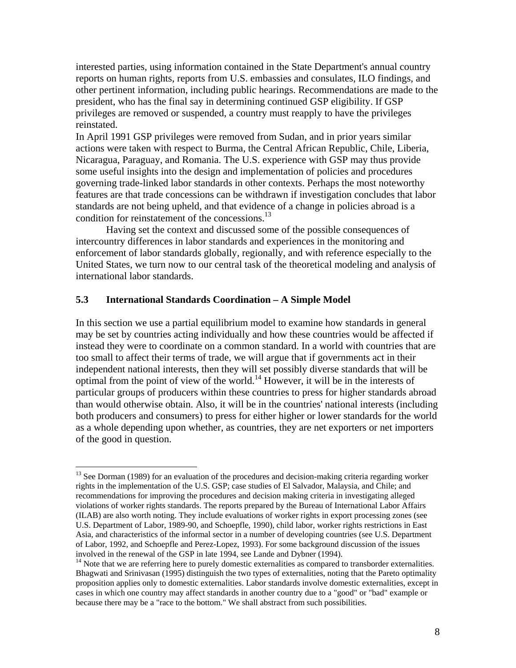interested parties, using information contained in the State Department's annual country reports on human rights, reports from U.S. embassies and consulates, ILO findings, and other pertinent information, including public hearings. Recommendations are made to the president, who has the final say in determining continued GSP eligibility. If GSP privileges are removed or suspended, a country must reapply to have the privileges reinstated.

In April 1991 GSP privileges were removed from Sudan, and in prior years similar actions were taken with respect to Burma, the Central African Republic, Chile, Liberia, Nicaragua, Paraguay, and Romania. The U.S. experience with GSP may thus provide some useful insights into the design and implementation of policies and procedures governing trade-linked labor standards in other contexts. Perhaps the most noteworthy features are that trade concessions can be withdrawn if investigation concludes that labor standards are not being upheld, and that evidence of a change in policies abroad is a condition for reinstatement of the concessions.<sup>13</sup>

Having set the context and discussed some of the possible consequences of intercountry differences in labor standards and experiences in the monitoring and enforcement of labor standards globally, regionally, and with reference especially to the United States, we turn now to our central task of the theoretical modeling and analysis of international labor standards.

## **5.3 International Standards Coordination – A Simple Model**

 $\overline{a}$ 

In this section we use a partial equilibrium model to examine how standards in general may be set by countries acting individually and how these countries would be affected if instead they were to coordinate on a common standard. In a world with countries that are too small to affect their terms of trade, we will argue that if governments act in their independent national interests, then they will set possibly diverse standards that will be optimal from the point of view of the world.<sup>14</sup> However, it will be in the interests of particular groups of producers within these countries to press for higher standards abroad than would otherwise obtain. Also, it will be in the countries' national interests (including both producers and consumers) to press for either higher or lower standards for the world as a whole depending upon whether, as countries, they are net exporters or net importers of the good in question.

<span id="page-8-0"></span><sup>&</sup>lt;sup>13</sup> See Dorman (1989) for an evaluation of the procedures and decision-making criteria regarding worker rights in the implementation of the U.S. GSP; case studies of El Salvador, Malaysia, and Chile; and recommendations for improving the procedures and decision making criteria in investigating alleged violations of worker rights standards. The reports prepared by the Bureau of International Labor Affairs (ILAB) are also worth noting. They include evaluations of worker rights in export processing zones (see U.S. Department of Labor, 1989-90, and Schoepfle, 1990), child labor, worker rights restrictions in East Asia, and characteristics of the informal sector in a number of developing countries (see U.S. Department of Labor, 1992, and Schoepfle and Perez-Lopez, 1993). For some background discussion of the issues involved in the renewal of the GSP in late 1994, see Lande and Dybner (1994).<br><sup>14</sup> Note that we are referring here to purely domestic externalities as compared to transborder externalities.

<span id="page-8-1"></span>Bhagwati and Srinivasan (1995) distinguish the two types of externalities, noting that the Pareto optimality proposition applies only to domestic externalities. Labor standards involve domestic externalities, except in cases in which one country may affect standards in another country due to a "good" or "bad" example or because there may be a "race to the bottom." We shall abstract from such possibilities.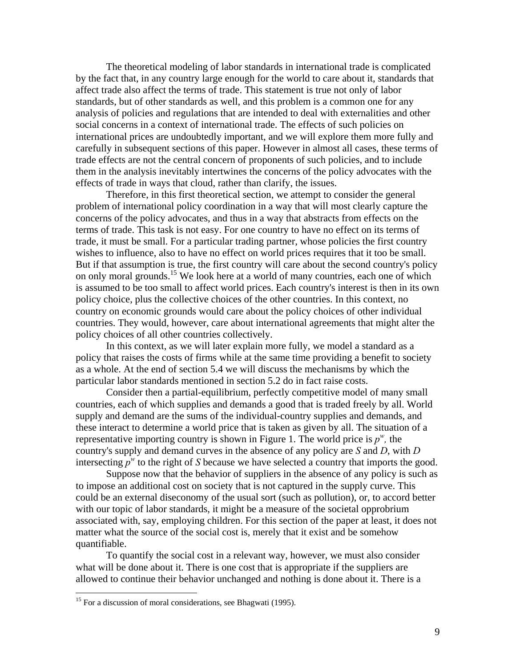The theoretical modeling of labor standards in international trade is complicated by the fact that, in any country large enough for the world to care about it, standards that affect trade also affect the terms of trade. This statement is true not only of labor standards, but of other standards as well, and this problem is a common one for any analysis of policies and regulations that are intended to deal with externalities and other social concerns in a context of international trade. The effects of such policies on international prices are undoubtedly important, and we will explore them more fully and carefully in subsequent sections of this paper. However in almost all cases, these terms of trade effects are not the central concern of proponents of such policies, and to include them in the analysis inevitably intertwines the concerns of the policy advocates with the effects of trade in ways that cloud, rather than clarify, the issues.

Therefore, in this first theoretical section, we attempt to consider the general problem of international policy coordination in a way that will most clearly capture the concerns of the policy advocates, and thus in a way that abstracts from effects on the terms of trade. This task is not easy. For one country to have no effect on its terms of trade, it must be small. For a particular trading partner, whose policies the first country wishes to influence, also to have no effect on world prices requires that it too be small. But if that assumption is true, the first country will care about the second country's policy on only moral grounds[.15](#page-9-0) We look here at a world of many countries, each one of which is assumed to be too small to affect world prices. Each country's interest is then in its own policy choice, plus the collective choices of the other countries. In this context, no country on economic grounds would care about the policy choices of other individual countries. They would, however, care about international agreements that might alter the policy choices of all other countries collectively.

In this context, as we will later explain more fully, we model a standard as a policy that raises the costs of firms while at the same time providing a benefit to society as a whole. At the end of section 5.4 we will discuss the mechanisms by which the particular labor standards mentioned in section 5.2 do in fact raise costs.

Consider then a partial-equilibrium, perfectly competitive model of many small countries, each of which supplies and demands a good that is traded freely by all. World supply and demand are the sums of the individual-country supplies and demands, and these interact to determine a world price that is taken as given by all. The situation of a representative importing country is shown in Figure 1. The world price is  $p^w$ , the country's supply and demand curves in the absence of any policy are *S* and *D*, with *D* intersecting  $p^w$  to the right of *S* because we have selected a country that imports the good.

Suppose now that the behavior of suppliers in the absence of any policy is such as to impose an additional cost on society that is not captured in the supply curve. This could be an external diseconomy of the usual sort (such as pollution), or, to accord better with our topic of labor standards, it might be a measure of the societal opprobrium associated with, say, employing children. For this section of the paper at least, it does not matter what the source of the social cost is, merely that it exist and be somehow quantifiable.

To quantify the social cost in a relevant way, however, we must also consider what will be done about it. There is one cost that is appropriate if the suppliers are allowed to continue their behavior unchanged and nothing is done about it. There is a

 $\overline{a}$ 

<span id="page-9-0"></span><sup>&</sup>lt;sup>15</sup> For a discussion of moral considerations, see Bhagwati (1995).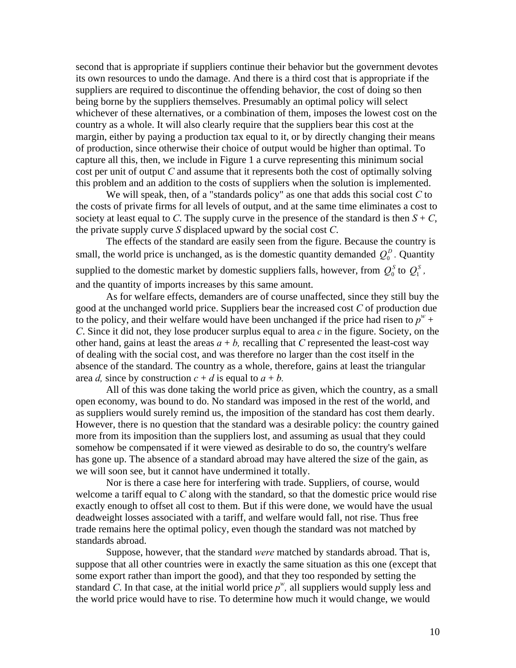second that is appropriate if suppliers continue their behavior but the government devotes its own resources to undo the damage. And there is a third cost that is appropriate if the suppliers are required to discontinue the offending behavior, the cost of doing so then being borne by the suppliers themselves. Presumably an optimal policy will select whichever of these alternatives, or a combination of them, imposes the lowest cost on the country as a whole. It will also clearly require that the suppliers bear this cost at the margin, either by paying a production tax equal to it, or by directly changing their means of production, since otherwise their choice of output would be higher than optimal. To capture all this, then, we include in Figure 1 a curve representing this minimum social cost per unit of output *C* and assume that it represents both the cost of optimally solving this problem and an addition to the costs of suppliers when the solution is implemented.

We will speak, then, of a "standards policy" as one that adds this social cost *C* to the costs of private firms for all levels of output, and at the same time eliminates a cost to society at least equal to *C*. The supply curve in the presence of the standard is then  $S + C$ , the private supply curve *S* displaced upward by the social cost *C*.

The effects of the standard are easily seen from the figure. Because the country is small, the world price is unchanged, as is the domestic quantity demanded  $Q_0^D$ . Quantity supplied to the domestic market by domestic suppliers falls, however, from  $Q_0^S$  to  $Q_1^S$ , and the quantity of imports increases by this same amount.

As for welfare effects, demanders are of course unaffected, since they still buy the good at the unchanged world price. Suppliers bear the increased cost *C* of production due to the policy, and their welfare would have been unchanged if the price had risen to  $p^w$  + *C*. Since it did not, they lose producer surplus equal to area *c* in the figure. Society, on the other hand, gains at least the areas  $a + b$ , recalling that *C* represented the least-cost way of dealing with the social cost, and was therefore no larger than the cost itself in the absence of the standard. The country as a whole, therefore, gains at least the triangular area *d*, since by construction  $c + d$  is equal to  $a + b$ .

All of this was done taking the world price as given, which the country, as a small open economy, was bound to do. No standard was imposed in the rest of the world, and as suppliers would surely remind us, the imposition of the standard has cost them dearly. However, there is no question that the standard was a desirable policy: the country gained more from its imposition than the suppliers lost, and assuming as usual that they could somehow be compensated if it were viewed as desirable to do so, the country's welfare has gone up. The absence of a standard abroad may have altered the size of the gain, as we will soon see, but it cannot have undermined it totally.

Nor is there a case here for interfering with trade. Suppliers, of course, would welcome a tariff equal to *C* along with the standard, so that the domestic price would rise exactly enough to offset all cost to them. But if this were done, we would have the usual deadweight losses associated with a tariff, and welfare would fall, not rise. Thus free trade remains here the optimal policy, even though the standard was not matched by standards abroad.

Suppose, however, that the standard *were* matched by standards abroad. That is, suppose that all other countries were in exactly the same situation as this one (except that some export rather than import the good), and that they too responded by setting the standard *C*. In that case, at the initial world price  $p^w$ , all suppliers would supply less and the world price would have to rise. To determine how much it would change, we would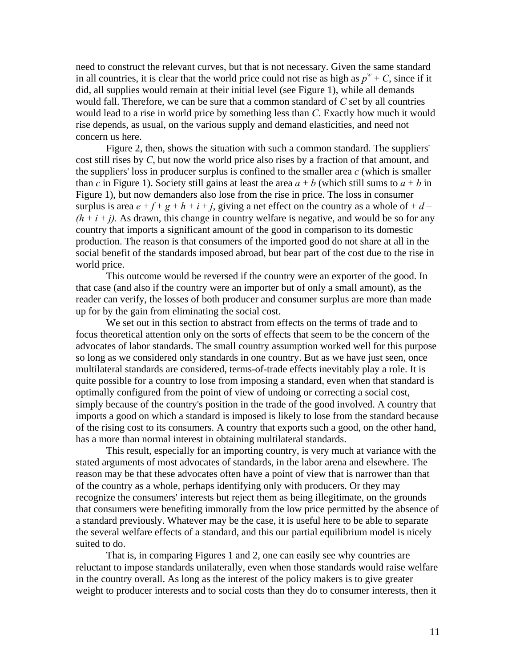need to construct the relevant curves, but that is not necessary. Given the same standard in all countries, it is clear that the world price could not rise as high as  $p^w + C$ , since if it did, all supplies would remain at their initial level (see Figure 1), while all demands would fall. Therefore, we can be sure that a common standard of *C* set by all countries would lead to a rise in world price by something less than *C*. Exactly how much it would rise depends, as usual, on the various supply and demand elasticities, and need not concern us here.

Figure 2, then, shows the situation with such a common standard. The suppliers' cost still rises by *C*, but now the world price also rises by a fraction of that amount, and the suppliers' loss in producer surplus is confined to the smaller area *c* (which is smaller than *c* in Figure 1). Society still gains at least the area  $a + b$  (which still sums to  $a + b$  in Figure 1), but now demanders also lose from the rise in price. The loss in consumer surplus is area  $e + f + g + h + i + j$ , giving a net effect on the country as a whole of  $+ d - j$  $(h + i + j)$ . As drawn, this change in country welfare is negative, and would be so for any country that imports a significant amount of the good in comparison to its domestic production. The reason is that consumers of the imported good do not share at all in the social benefit of the standards imposed abroad, but bear part of the cost due to the rise in world price.

This outcome would be reversed if the country were an exporter of the good. In that case (and also if the country were an importer but of only a small amount), as the reader can verify, the losses of both producer and consumer surplus are more than made up for by the gain from eliminating the social cost.

We set out in this section to abstract from effects on the terms of trade and to focus theoretical attention only on the sorts of effects that seem to be the concern of the advocates of labor standards. The small country assumption worked well for this purpose so long as we considered only standards in one country. But as we have just seen, once multilateral standards are considered, terms-of-trade effects inevitably play a role. It is quite possible for a country to lose from imposing a standard, even when that standard is optimally configured from the point of view of undoing or correcting a social cost, simply because of the country's position in the trade of the good involved. A country that imports a good on which a standard is imposed is likely to lose from the standard because of the rising cost to its consumers. A country that exports such a good, on the other hand, has a more than normal interest in obtaining multilateral standards.

This result, especially for an importing country, is very much at variance with the stated arguments of most advocates of standards, in the labor arena and elsewhere. The reason may be that these advocates often have a point of view that is narrower than that of the country as a whole, perhaps identifying only with producers. Or they may recognize the consumers' interests but reject them as being illegitimate, on the grounds that consumers were benefiting immorally from the low price permitted by the absence of a standard previously. Whatever may be the case, it is useful here to be able to separate the several welfare effects of a standard, and this our partial equilibrium model is nicely suited to do.

That is, in comparing Figures 1 and 2, one can easily see why countries are reluctant to impose standards unilaterally, even when those standards would raise welfare in the country overall. As long as the interest of the policy makers is to give greater weight to producer interests and to social costs than they do to consumer interests, then it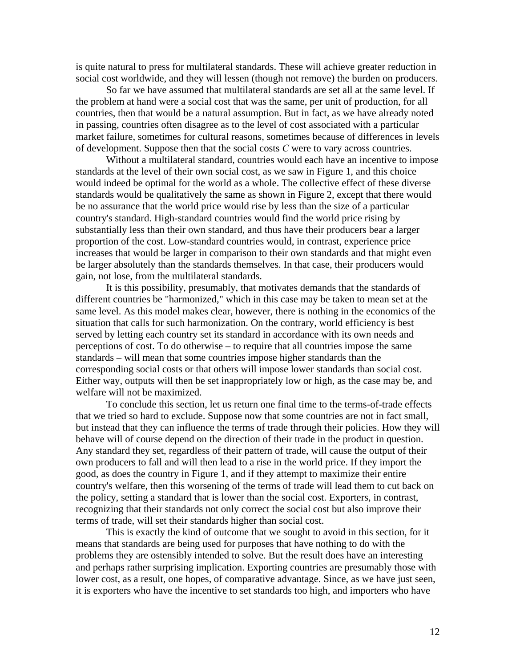is quite natural to press for multilateral standards. These will achieve greater reduction in social cost worldwide, and they will lessen (though not remove) the burden on producers.

So far we have assumed that multilateral standards are set all at the same level. If the problem at hand were a social cost that was the same, per unit of production, for all countries, then that would be a natural assumption. But in fact, as we have already noted in passing, countries often disagree as to the level of cost associated with a particular market failure, sometimes for cultural reasons, sometimes because of differences in levels of development. Suppose then that the social costs *C* were to vary across countries.

Without a multilateral standard, countries would each have an incentive to impose standards at the level of their own social cost, as we saw in Figure 1, and this choice would indeed be optimal for the world as a whole. The collective effect of these diverse standards would be qualitatively the same as shown in Figure 2, except that there would be no assurance that the world price would rise by less than the size of a particular country's standard. High-standard countries would find the world price rising by substantially less than their own standard, and thus have their producers bear a larger proportion of the cost. Low-standard countries would, in contrast, experience price increases that would be larger in comparison to their own standards and that might even be larger absolutely than the standards themselves. In that case, their producers would gain, not lose, from the multilateral standards.

It is this possibility, presumably, that motivates demands that the standards of different countries be "harmonized," which in this case may be taken to mean set at the same level. As this model makes clear, however, there is nothing in the economics of the situation that calls for such harmonization. On the contrary, world efficiency is best served by letting each country set its standard in accordance with its own needs and perceptions of cost. To do otherwise – to require that all countries impose the same standards – will mean that some countries impose higher standards than the corresponding social costs or that others will impose lower standards than social cost. Either way, outputs will then be set inappropriately low or high, as the case may be, and welfare will not be maximized.

To conclude this section, let us return one final time to the terms-of-trade effects that we tried so hard to exclude. Suppose now that some countries are not in fact small, but instead that they can influence the terms of trade through their policies. How they will behave will of course depend on the direction of their trade in the product in question. Any standard they set, regardless of their pattern of trade, will cause the output of their own producers to fall and will then lead to a rise in the world price. If they import the good, as does the country in Figure 1, and if they attempt to maximize their entire country's welfare, then this worsening of the terms of trade will lead them to cut back on the policy, setting a standard that is lower than the social cost. Exporters, in contrast, recognizing that their standards not only correct the social cost but also improve their terms of trade, will set their standards higher than social cost.

This is exactly the kind of outcome that we sought to avoid in this section, for it means that standards are being used for purposes that have nothing to do with the problems they are ostensibly intended to solve. But the result does have an interesting and perhaps rather surprising implication. Exporting countries are presumably those with lower cost, as a result, one hopes, of comparative advantage. Since, as we have just seen, it is exporters who have the incentive to set standards too high, and importers who have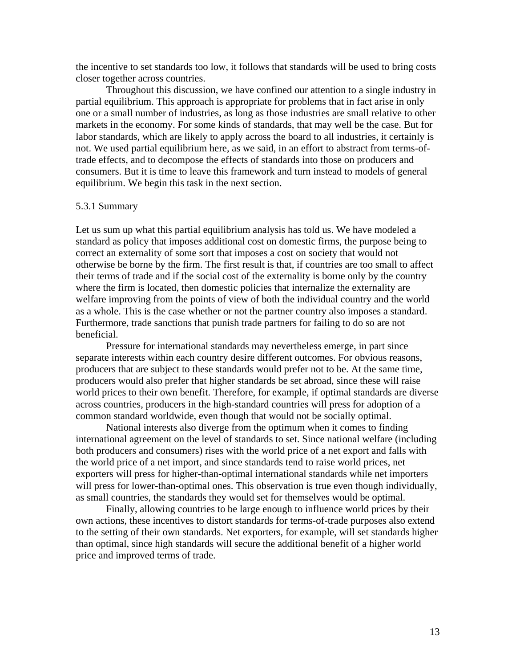the incentive to set standards too low, it follows that standards will be used to bring costs closer together across countries.

Throughout this discussion, we have confined our attention to a single industry in partial equilibrium. This approach is appropriate for problems that in fact arise in only one or a small number of industries, as long as those industries are small relative to other markets in the economy. For some kinds of standards, that may well be the case. But for labor standards, which are likely to apply across the board to all industries, it certainly is not. We used partial equilibrium here, as we said, in an effort to abstract from terms-oftrade effects, and to decompose the effects of standards into those on producers and consumers. But it is time to leave this framework and turn instead to models of general equilibrium. We begin this task in the next section.

#### 5.3.1 Summary

Let us sum up what this partial equilibrium analysis has told us. We have modeled a standard as policy that imposes additional cost on domestic firms, the purpose being to correct an externality of some sort that imposes a cost on society that would not otherwise be borne by the firm. The first result is that, if countries are too small to affect their terms of trade and if the social cost of the externality is borne only by the country where the firm is located, then domestic policies that internalize the externality are welfare improving from the points of view of both the individual country and the world as a whole. This is the case whether or not the partner country also imposes a standard. Furthermore, trade sanctions that punish trade partners for failing to do so are not beneficial.

Pressure for international standards may nevertheless emerge, in part since separate interests within each country desire different outcomes. For obvious reasons, producers that are subject to these standards would prefer not to be. At the same time, producers would also prefer that higher standards be set abroad, since these will raise world prices to their own benefit. Therefore, for example, if optimal standards are diverse across countries, producers in the high-standard countries will press for adoption of a common standard worldwide, even though that would not be socially optimal.

National interests also diverge from the optimum when it comes to finding international agreement on the level of standards to set. Since national welfare (including both producers and consumers) rises with the world price of a net export and falls with the world price of a net import, and since standards tend to raise world prices, net exporters will press for higher-than-optimal international standards while net importers will press for lower-than-optimal ones. This observation is true even though individually, as small countries, the standards they would set for themselves would be optimal.

Finally, allowing countries to be large enough to influence world prices by their own actions, these incentives to distort standards for terms-of-trade purposes also extend to the setting of their own standards. Net exporters, for example, will set standards higher than optimal, since high standards will secure the additional benefit of a higher world price and improved terms of trade.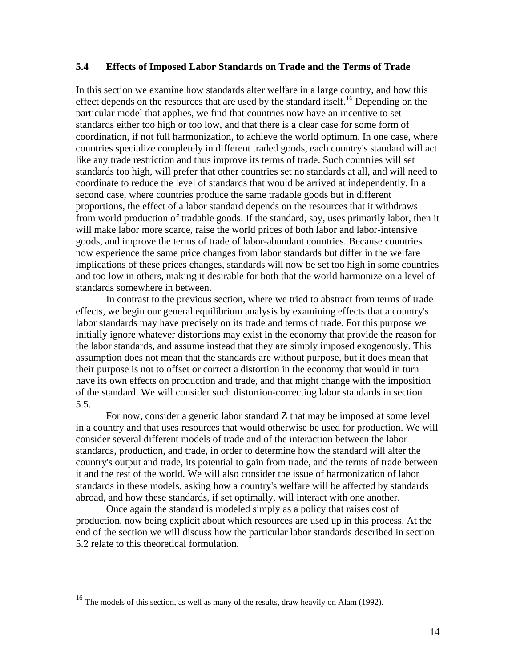### **5.4 Effects of Imposed Labor Standards on Trade and the Terms of Trade**

In this section we examine how standards alter welfare in a large country, and how this effect depends on the resources that are used by the standard itself.<sup>16</sup> Depending on the particular model that applies, we find that countries now have an incentive to set standards either too high or too low, and that there is a clear case for some form of coordination, if not full harmonization, to achieve the world optimum. In one case, where countries specialize completely in different traded goods, each country's standard will act like any trade restriction and thus improve its terms of trade. Such countries will set standards too high, will prefer that other countries set no standards at all, and will need to coordinate to reduce the level of standards that would be arrived at independently. In a second case, where countries produce the same tradable goods but in different proportions, the effect of a labor standard depends on the resources that it withdraws from world production of tradable goods. If the standard, say, uses primarily labor, then it will make labor more scarce, raise the world prices of both labor and labor-intensive goods, and improve the terms of trade of labor-abundant countries. Because countries now experience the same price changes from labor standards but differ in the welfare implications of these prices changes, standards will now be set too high in some countries and too low in others, making it desirable for both that the world harmonize on a level of standards somewhere in between.

In contrast to the previous section, where we tried to abstract from terms of trade effects, we begin our general equilibrium analysis by examining effects that a country's labor standards may have precisely on its trade and terms of trade. For this purpose we initially ignore whatever distortions may exist in the economy that provide the reason for the labor standards, and assume instead that they are simply imposed exogenously. This assumption does not mean that the standards are without purpose, but it does mean that their purpose is not to offset or correct a distortion in the economy that would in turn have its own effects on production and trade, and that might change with the imposition of the standard. We will consider such distortion-correcting labor standards in section 5.5.

For now, consider a generic labor standard Z that may be imposed at some level in a country and that uses resources that would otherwise be used for production. We will consider several different models of trade and of the interaction between the labor standards, production, and trade, in order to determine how the standard will alter the country's output and trade, its potential to gain from trade, and the terms of trade between it and the rest of the world. We will also consider the issue of harmonization of labor standards in these models, asking how a country's welfare will be affected by standards abroad, and how these standards, if set optimally, will interact with one another.

Once again the standard is modeled simply as a policy that raises cost of production, now being explicit about which resources are used up in this process. At the end of the section we will discuss how the particular labor standards described in section 5.2 relate to this theoretical formulation.

<u>.</u>

<span id="page-14-0"></span><sup>&</sup>lt;sup>16</sup> The models of this section, as well as many of the results, draw heavily on Alam (1992).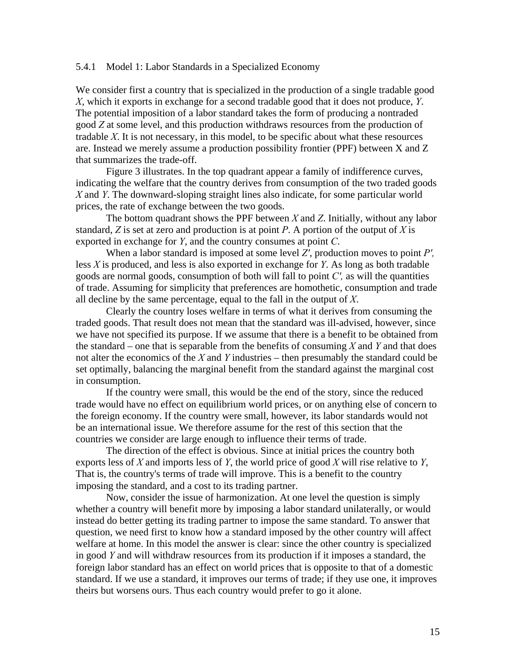#### 5.4.1 Model 1: Labor Standards in a Specialized Economy

We consider first a country that is specialized in the production of a single tradable good *X*, which it exports in exchange for a second tradable good that it does not produce, *Y*. The potential imposition of a labor standard takes the form of producing a nontraded good *Z* at some level, and this production withdraws resources from the production of tradable *X*. It is not necessary, in this model, to be specific about what these resources are. Instead we merely assume a production possibility frontier (PPF) between X and Z that summarizes the trade-off.

Figure 3 illustrates. In the top quadrant appear a family of indifference curves, indicating the welfare that the country derives from consumption of the two traded goods *X* and *Y*. The downward-sloping straight lines also indicate, for some particular world prices, the rate of exchange between the two goods.

The bottom quadrant shows the PPF between *X* and *Z*. Initially, without any labor standard, *Z* is set at zero and production is at point *P*. A portion of the output of *X* is exported in exchange for *Y*, and the country consumes at point *C*.

When a labor standard is imposed at some level *Z'*, production moves to point *P',*  less *X* is produced, and less is also exported in exchange for *Y*. As long as both tradable goods are normal goods, consumption of both will fall to point *C',* as will the quantities of trade. Assuming for simplicity that preferences are homothetic, consumption and trade all decline by the same percentage, equal to the fall in the output of *X*.

Clearly the country loses welfare in terms of what it derives from consuming the traded goods. That result does not mean that the standard was ill-advised, however, since we have not specified its purpose. If we assume that there is a benefit to be obtained from the standard – one that is separable from the benefits of consuming *X* and *Y* and that does not alter the economics of the *X* and *Y* industries – then presumably the standard could be set optimally, balancing the marginal benefit from the standard against the marginal cost in consumption.

If the country were small, this would be the end of the story, since the reduced trade would have no effect on equilibrium world prices, or on anything else of concern to the foreign economy. If the country were small, however, its labor standards would not be an international issue. We therefore assume for the rest of this section that the countries we consider are large enough to influence their terms of trade.

The direction of the effect is obvious. Since at initial prices the country both exports less of *X* and imports less of *Y*, the world price of good *X* will rise relative to *Y*, That is, the country's terms of trade will improve. This is a benefit to the country imposing the standard, and a cost to its trading partner.

Now, consider the issue of harmonization. At one level the question is simply whether a country will benefit more by imposing a labor standard unilaterally, or would instead do better getting its trading partner to impose the same standard. To answer that question, we need first to know how a standard imposed by the other country will affect welfare at home. In this model the answer is clear: since the other country is specialized in good *Y* and will withdraw resources from its production if it imposes a standard, the foreign labor standard has an effect on world prices that is opposite to that of a domestic standard. If we use a standard, it improves our terms of trade; if they use one, it improves theirs but worsens ours. Thus each country would prefer to go it alone.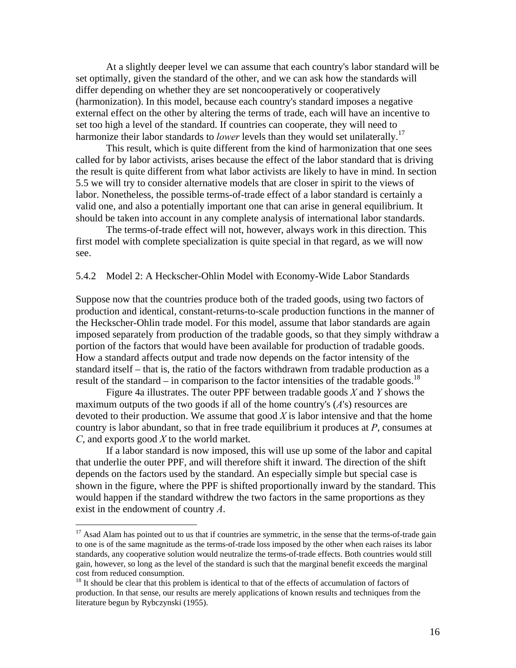At a slightly deeper level we can assume that each country's labor standard will be set optimally, given the standard of the other, and we can ask how the standards will differ depending on whether they are set noncooperatively or cooperatively (harmonization). In this model, because each country's standard imposes a negative external effect on the other by altering the terms of trade, each will have an incentive to set too high a level of the standard. If countries can cooperate, they will need to harmonize their labor standards to *lower* levels than they would set unilaterally.<sup>17</sup>

This result, which is quite different from the kind of harmonization that one sees called for by labor activists, arises because the effect of the labor standard that is driving the result is quite different from what labor activists are likely to have in mind. In section 5.5 we will try to consider alternative models that are closer in spirit to the views of labor. Nonetheless, the possible terms-of-trade effect of a labor standard is certainly a valid one, and also a potentially important one that can arise in general equilibrium. It should be taken into account in any complete analysis of international labor standards.

The terms-of-trade effect will not, however, always work in this direction. This first model with complete specialization is quite special in that regard, as we will now see.

#### 5.4.2 Model 2: A Heckscher-Ohlin Model with Economy-Wide Labor Standards

Suppose now that the countries produce both of the traded goods, using two factors of production and identical, constant-returns-to-scale production functions in the manner of the Heckscher-Ohlin trade model. For this model, assume that labor standards are again imposed separately from production of the tradable goods, so that they simply withdraw a portion of the factors that would have been available for production of tradable goods. How a standard affects output and trade now depends on the factor intensity of the standard itself – that is, the ratio of the factors withdrawn from tradable production as a result of the standard – in comparison to the factor intensities of the tradable goods.<sup>18</sup>

Figure 4a illustrates. The outer PPF between tradable goods *X* and *Y* shows the maximum outputs of the two goods if all of the home country's (*A*'s) resources are devoted to their production. We assume that good *X* is labor intensive and that the home country is labor abundant, so that in free trade equilibrium it produces at *P*, consumes at *C*, and exports good *X* to the world market.

If a labor standard is now imposed, this will use up some of the labor and capital that underlie the outer PPF, and will therefore shift it inward. The direction of the shift depends on the factors used by the standard. An especially simple but special case is shown in the figure, where the PPF is shifted proportionally inward by the standard. This would happen if the standard withdrew the two factors in the same proportions as they exist in the endowment of country *A*.

1

<span id="page-16-0"></span><sup>&</sup>lt;sup>17</sup> Asad Alam has pointed out to us that if countries are symmetric, in the sense that the terms-of-trade gain to one is of the same magnitude as the terms-of-trade loss imposed by the other when each raises its labor standards, any cooperative solution would neutralize the terms-of-trade effects. Both countries would still gain, however, so long as the level of the standard is such that the marginal benefit exceeds the marginal cost from reduced consumption. 18 It should be clear that this problem is identical to that of the effects of accumulation of factors of

<span id="page-16-1"></span>production. In that sense, our results are merely applications of known results and techniques from the literature begun by Rybczynski (1955).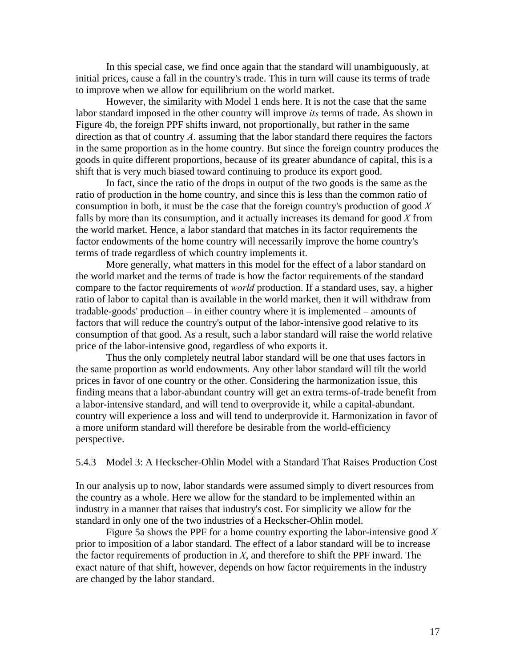In this special case, we find once again that the standard will unambiguously, at initial prices, cause a fall in the country's trade. This in turn will cause its terms of trade to improve when we allow for equilibrium on the world market.

However, the similarity with Model 1 ends here. It is not the case that the same labor standard imposed in the other country will improve *its* terms of trade. As shown in Figure 4b, the foreign PPF shifts inward, not proportionally, but rather in the same direction as that of country *A*. assuming that the labor standard there requires the factors in the same proportion as in the home country. But since the foreign country produces the goods in quite different proportions, because of its greater abundance of capital, this is a shift that is very much biased toward continuing to produce its export good.

In fact, since the ratio of the drops in output of the two goods is the same as the ratio of production in the home country, and since this is less than the common ratio of consumption in both, it must be the case that the foreign country's production of good *X* falls by more than its consumption, and it actually increases its demand for good *X* from the world market. Hence, a labor standard that matches in its factor requirements the factor endowments of the home country will necessarily improve the home country's terms of trade regardless of which country implements it.

More generally, what matters in this model for the effect of a labor standard on the world market and the terms of trade is how the factor requirements of the standard compare to the factor requirements of *world* production. If a standard uses, say, a higher ratio of labor to capital than is available in the world market, then it will withdraw from tradable-goods' production – in either country where it is implemented – amounts of factors that will reduce the country's output of the labor-intensive good relative to its consumption of that good. As a result, such a labor standard will raise the world relative price of the labor-intensive good, regardless of who exports it.

Thus the only completely neutral labor standard will be one that uses factors in the same proportion as world endowments. Any other labor standard will tilt the world prices in favor of one country or the other. Considering the harmonization issue, this finding means that a labor-abundant country will get an extra terms-of-trade benefit from a labor-intensive standard, and will tend to overprovide it, while a capital-abundant. country will experience a loss and will tend to underprovide it. Harmonization in favor of a more uniform standard will therefore be desirable from the world-efficiency perspective.

5.4.3 Model 3: A Heckscher-Ohlin Model with a Standard That Raises Production Cost

In our analysis up to now, labor standards were assumed simply to divert resources from the country as a whole. Here we allow for the standard to be implemented within an industry in a manner that raises that industry's cost. For simplicity we allow for the standard in only one of the two industries of a Heckscher-Ohlin model.

Figure 5a shows the PPF for a home country exporting the labor-intensive good *X* prior to imposition of a labor standard. The effect of a labor standard will be to increase the factor requirements of production in *X*, and therefore to shift the PPF inward. The exact nature of that shift, however, depends on how factor requirements in the industry are changed by the labor standard.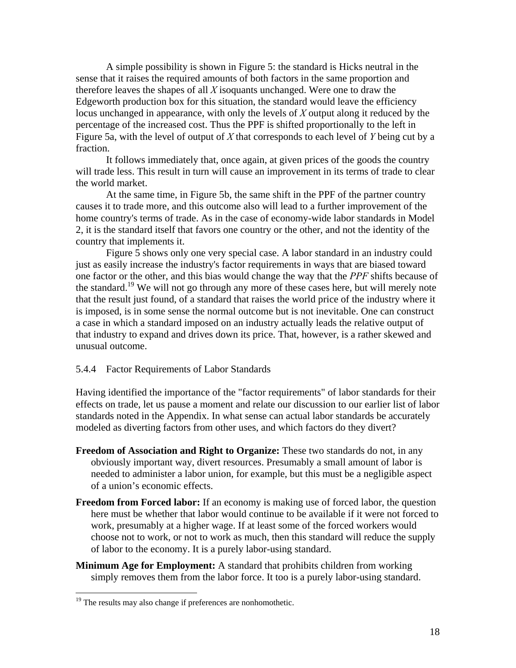A simple possibility is shown in Figure 5: the standard is Hicks neutral in the sense that it raises the required amounts of both factors in the same proportion and therefore leaves the shapes of all *X* isoquants unchanged. Were one to draw the Edgeworth production box for this situation, the standard would leave the efficiency locus unchanged in appearance, with only the levels of *X* output along it reduced by the percentage of the increased cost. Thus the PPF is shifted proportionally to the left in Figure 5a, with the level of output of *X* that corresponds to each level of *Y* being cut by a fraction.

It follows immediately that, once again, at given prices of the goods the country will trade less. This result in turn will cause an improvement in its terms of trade to clear the world market.

At the same time, in Figure 5b, the same shift in the PPF of the partner country causes it to trade more, and this outcome also will lead to a further improvement of the home country's terms of trade. As in the case of economy-wide labor standards in Model 2, it is the standard itself that favors one country or the other, and not the identity of the country that implements it.

Figure 5 shows only one very special case. A labor standard in an industry could just as easily increase the industry's factor requirements in ways that are biased toward one factor or the other, and this bias would change the way that the *PPF* shifts because of the standard.<sup>19</sup> We will not go through any more of these cases here, but will merely note that the result just found, of a standard that raises the world price of the industry where it is imposed, is in some sense the normal outcome but is not inevitable. One can construct a case in which a standard imposed on an industry actually leads the relative output of that industry to expand and drives down its price. That, however, is a rather skewed and unusual outcome.

#### 5.4.4 Factor Requirements of Labor Standards

Having identified the importance of the "factor requirements" of labor standards for their effects on trade, let us pause a moment and relate our discussion to our earlier list of labor standards noted in the Appendix. In what sense can actual labor standards be accurately modeled as diverting factors from other uses, and which factors do they divert?

- **Freedom of Association and Right to Organize:** These two standards do not, in any obviously important way, divert resources. Presumably a small amount of labor is needed to administer a labor union, for example, but this must be a negligible aspect of a union's economic effects.
- **Freedom from Forced labor:** If an economy is making use of forced labor, the question here must be whether that labor would continue to be available if it were not forced to work, presumably at a higher wage. If at least some of the forced workers would choose not to work, or not to work as much, then this standard will reduce the supply of labor to the economy. It is a purely labor-using standard.
- **Minimum Age for Employment:** A standard that prohibits children from working simply removes them from the labor force. It too is a purely labor-using standard.

 $\overline{a}$ 

<span id="page-18-0"></span><sup>&</sup>lt;sup>19</sup> The results may also change if preferences are nonhomothetic.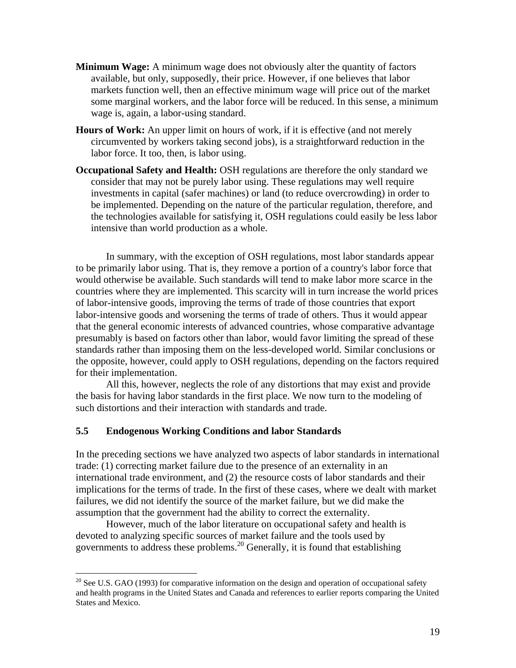- **Minimum Wage:** A minimum wage does not obviously alter the quantity of factors available, but only, supposedly, their price. However, if one believes that labor markets function well, then an effective minimum wage will price out of the market some marginal workers, and the labor force will be reduced. In this sense, a minimum wage is, again, a labor-using standard.
- **Hours of Work:** An upper limit on hours of work, if it is effective (and not merely circumvented by workers taking second jobs), is a straightforward reduction in the labor force. It too, then, is labor using.
- **Occupational Safety and Health:** OSH regulations are therefore the only standard we consider that may not be purely labor using. These regulations may well require investments in capital (safer machines) or land (to reduce overcrowding) in order to be implemented. Depending on the nature of the particular regulation, therefore, and the technologies available for satisfying it, OSH regulations could easily be less labor intensive than world production as a whole.

In summary, with the exception of OSH regulations, most labor standards appear to be primarily labor using. That is, they remove a portion of a country's labor force that would otherwise be available. Such standards will tend to make labor more scarce in the countries where they are implemented. This scarcity will in turn increase the world prices of labor-intensive goods, improving the terms of trade of those countries that export labor-intensive goods and worsening the terms of trade of others. Thus it would appear that the general economic interests of advanced countries, whose comparative advantage presumably is based on factors other than labor, would favor limiting the spread of these standards rather than imposing them on the less-developed world. Similar conclusions or the opposite, however, could apply to OSH regulations, depending on the factors required for their implementation.

All this, however, neglects the role of any distortions that may exist and provide the basis for having labor standards in the first place. We now turn to the modeling of such distortions and their interaction with standards and trade.

## **5.5****Endogenous Working Conditions and labor Standards**

1

In the preceding sections we have analyzed two aspects of labor standards in international trade: (1) correcting market failure due to the presence of an externality in an international trade environment, and (2) the resource costs of labor standards and their implications for the terms of trade. In the first of these cases, where we dealt with market failures, we did not identify the source of the market failure, but we did make the assumption that the government had the ability to correct the externality.

However, much of the labor literature on occupational safety and health is devoted to analyzing specific sources of market failure and the tools used by governments to address these problems. [20 G](#page-19-0)enerally, it is found that establishing

<span id="page-19-0"></span><sup>&</sup>lt;sup>20</sup> See U.S. GAO (1993) for comparative information on the design and operation of occupational safety and health programs in the United States and Canada and references to earlier reports comparing the United States and Mexico.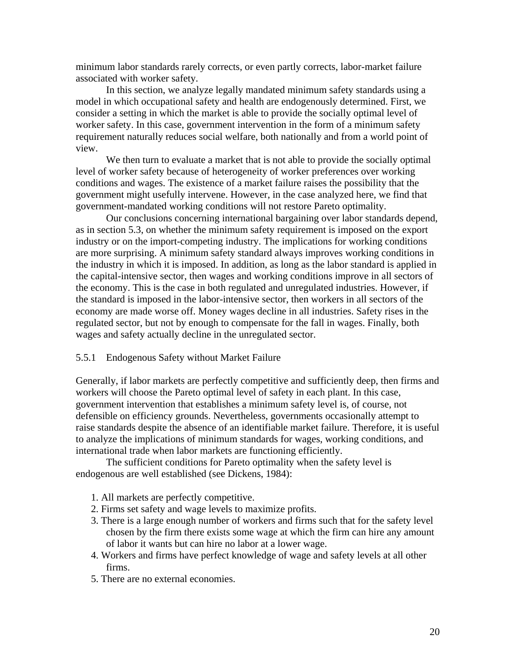minimum labor standards rarely corrects, or even partly corrects, labor-market failure associated with worker safety.

In this section, we analyze legally mandated minimum safety standards using a model in which occupational safety and health are endogenously determined. First, we consider a setting in which the market is able to provide the socially optimal level of worker safety. In this case, government intervention in the form of a minimum safety requirement naturally reduces social welfare, both nationally and from a world point of view.

We then turn to evaluate a market that is not able to provide the socially optimal level of worker safety because of heterogeneity of worker preferences over working conditions and wages. The existence of a market failure raises the possibility that the government might usefully intervene. However, in the case analyzed here, we find that government-mandated working conditions will not restore Pareto optimality.

Our conclusions concerning international bargaining over labor standards depend, as in section 5.3, on whether the minimum safety requirement is imposed on the export industry or on the import-competing industry. The implications for working conditions are more surprising. A minimum safety standard always improves working conditions in the industry in which it is imposed. In addition, as long as the labor standard is applied in the capital-intensive sector, then wages and working conditions improve in all sectors of the economy. This is the case in both regulated and unregulated industries. However, if the standard is imposed in the labor-intensive sector, then workers in all sectors of the economy are made worse off. Money wages decline in all industries. Safety rises in the regulated sector, but not by enough to compensate for the fall in wages. Finally, both wages and safety actually decline in the unregulated sector.

#### 5.5.1 Endogenous Safety without Market Failure

Generally, if labor markets are perfectly competitive and sufficiently deep, then firms and workers will choose the Pareto optimal level of safety in each plant. In this case, government intervention that establishes a minimum safety level is, of course, not defensible on efficiency grounds. Nevertheless, governments occasionally attempt to raise standards despite the absence of an identifiable market failure. Therefore, it is useful to analyze the implications of minimum standards for wages, working conditions, and international trade when labor markets are functioning efficiently.

The sufficient conditions for Pareto optimality when the safety level is endogenous are well established (see Dickens, 1984):

- 1. All markets are perfectly competitive.
- 2. Firms set safety and wage levels to maximize profits.
- 3. There is a large enough number of workers and firms such that for the safety level chosen by the firm there exists some wage at which the firm can hire any amount of labor it wants but can hire no labor at a lower wage.
- 4. Workers and firms have perfect knowledge of wage and safety levels at all other firms.
- 5. There are no external economies.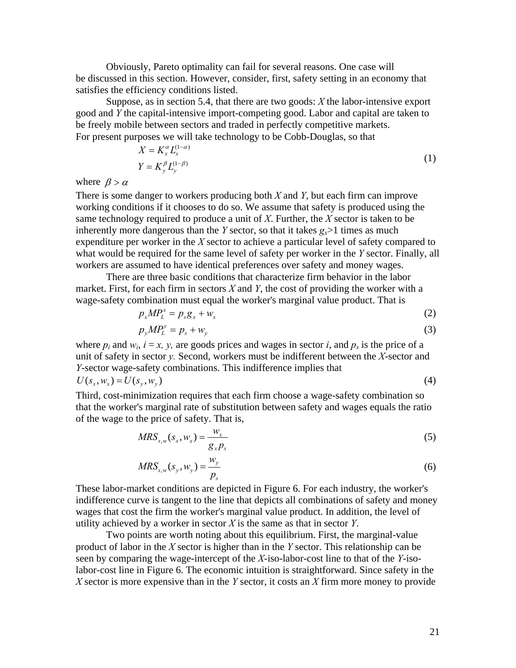Obviously, Pareto optimality can fail for several reasons. One case will be discussed in this section. However, consider, first, safety setting in an economy that satisfies the efficiency conditions listed.

Suppose, as in section 5.4, that there are two goods: *X* the labor-intensive export good and *Y* the capital-intensive import-competing good. Labor and capital are taken to be freely mobile between sectors and traded in perfectly competitive markets. For present purposes we will take technology to be Cobb-Douglas, so that

$$
X = K_x^{\alpha} L_x^{(1-\alpha)}
$$
  
\n
$$
Y = K_y^{\beta} L_y^{(1-\beta)}
$$
\n(1)

where  $\beta > \alpha$ 

There is some danger to workers producing both *X* and *Y*, but each firm can improve working conditions if it chooses to do so. We assume that safety is produced using the same technology required to produce a unit of *X*. Further, the *X* sector is taken to be inherently more dangerous than the *Y* sector, so that it takes  $g_x$ >1 times as much expenditure per worker in the *X* sector to achieve a particular level of safety compared to what would be required for the same level of safety per worker in the *Y* sector. Finally, all workers are assumed to have identical preferences over safety and money wages.

There are three basic conditions that characterize firm behavior in the labor market. First, for each firm in sectors *X* and *Y*, the cost of providing the worker with a wage-safety combination must equal the worker's marginal value product. That is

$$
p_x M P_L^x = p_s g_x + w_x \tag{2}
$$

$$
p_{y}MP_{L}^{y} = p_{s} + w_{y} \tag{3}
$$

where  $p_i$  and  $w_i$ ,  $i = x$ ,  $y$ , are goods prices and wages in sector *i*, and  $p_s$  is the price of a unit of safety in sector *y.* Second, workers must be indifferent between the *X*-sector and *Y*-sector wage-safety combinations. This indifference implies that  $U(s_x, w_x) = U(s_x, w_y)$  (4)

Third, cost-minimization requires that each firm choose a wage-safety combination so that the worker's marginal rate of substitution between safety and wages equals the ratio of the wage to the price of safety. That is,

$$
MRS_{s,w}(s_x, w_x) = \frac{w_x}{g_x p_s} \tag{5}
$$

$$
MRS_{s,w}(s_y, w_y) = \frac{w_y}{p_s} \tag{6}
$$

These labor-market conditions are depicted in Figure 6. For each industry, the worker's indifference curve is tangent to the line that depicts all combinations of safety and money wages that cost the firm the worker's marginal value product. In addition, the level of utility achieved by a worker in sector *X* is the same as that in sector *Y*.

Two points are worth noting about this equilibrium. First, the marginal-value product of labor in the *X* sector is higher than in the *Y* sector. This relationship can be seen by comparing the wage-intercept of the *X*-iso-labor-cost line to that of the *Y*-isolabor-cost line in Figure 6. The economic intuition is straightforward. Since safety in the *X* sector is more expensive than in the *Y* sector, it costs an *X* firm more money to provide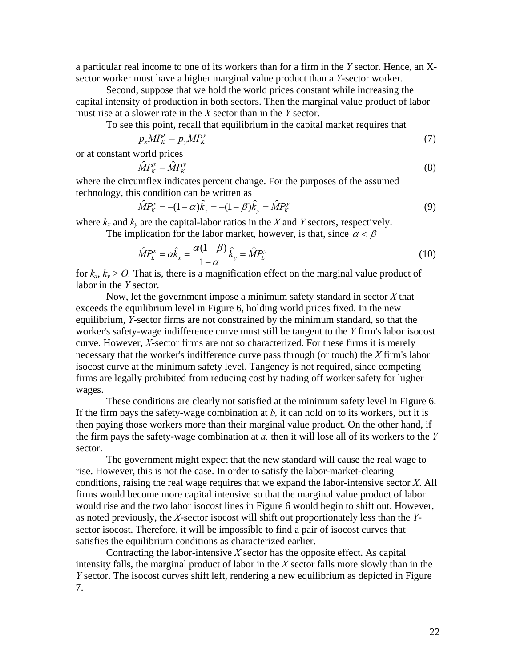a particular real income to one of its workers than for a firm in the *Y* sector. Hence, an Xsector worker must have a higher marginal value product than a *Y*-sector worker.

Second, suppose that we hold the world prices constant while increasing the capital intensity of production in both sectors. Then the marginal value product of labor must rise at a slower rate in the *X* sector than in the *Y* sector.

To see this point, recall that equilibrium in the capital market requires that

$$
p_x M P_K^x = p_y M P_K^y \tag{7}
$$

or at constant world prices

$$
\hat{M}P_K^x = \hat{M}P_K^y \tag{8}
$$

where the circumflex indicates percent change. For the purposes of the assumed technology, this condition can be written as

$$
\hat{M}P_K^x = -(1 - \alpha)\hat{k}_x = -(1 - \beta)\hat{k}_y = \hat{M}P_K^y \tag{9}
$$

where  $k_x$  and  $k_y$  are the capital-labor ratios in the *X* and *Y* sectors, respectively. The implication for the labor market, however, is that, since  $\alpha < \beta$ 

$$
\hat{M}P_L^x = \alpha \hat{k}_x = \frac{\alpha (1 - \beta)}{1 - \alpha} \hat{k}_y = \hat{M}P_L^y \tag{10}
$$

for  $k_x$ ,  $k_y > 0$ . That is, there is a magnification effect on the marginal value product of labor in the *Y* sector.

Now, let the government impose a minimum safety standard in sector *X* that exceeds the equilibrium level in Figure 6, holding world prices fixed. In the new equilibrium, *Y*-sector firms are not constrained by the minimum standard, so that the worker's safety-wage indifference curve must still be tangent to the *Y* firm's labor isocost curve. However, *X*-sector firms are not so characterized. For these firms it is merely necessary that the worker's indifference curve pass through (or touch) the *X* firm's labor isocost curve at the minimum safety level. Tangency is not required, since competing firms are legally prohibited from reducing cost by trading off worker safety for higher wages.

These conditions are clearly not satisfied at the minimum safety level in Figure 6. If the firm pays the safety-wage combination at *b,* it can hold on to its workers, but it is then paying those workers more than their marginal value product. On the other hand, if the firm pays the safety-wage combination at *a,* then it will lose all of its workers to the *Y* sector.

The government might expect that the new standard will cause the real wage to rise. However, this is not the case. In order to satisfy the labor-market-clearing conditions, raising the real wage requires that we expand the labor-intensive sector *X*. All firms would become more capital intensive so that the marginal value product of labor would rise and the two labor isocost lines in Figure 6 would begin to shift out. However, as noted previously, the *X*-sector isocost will shift out proportionately less than the *Y*sector isocost. Therefore, it will be impossible to find a pair of isocost curves that satisfies the equilibrium conditions as characterized earlier.

Contracting the labor-intensive *X* sector has the opposite effect. As capital intensity falls, the marginal product of labor in the *X* sector falls more slowly than in the *Y* sector. The isocost curves shift left, rendering a new equilibrium as depicted in Figure 7.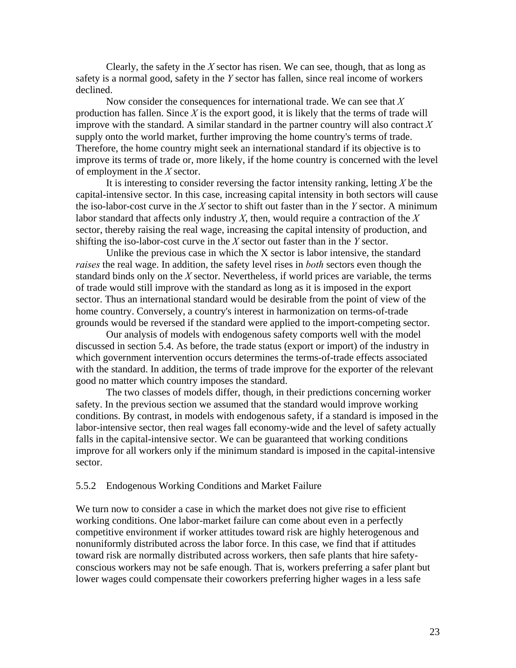Clearly, the safety in the *X* sector has risen. We can see, though, that as long as safety is a normal good, safety in the *Y* sector has fallen, since real income of workers declined.

Now consider the consequences for international trade. We can see that *X* production has fallen. Since *X* is the export good, it is likely that the terms of trade will improve with the standard. A similar standard in the partner country will also contract *X* supply onto the world market, further improving the home country's terms of trade. Therefore, the home country might seek an international standard if its objective is to improve its terms of trade or, more likely, if the home country is concerned with the level of employment in the *X* sector.

It is interesting to consider reversing the factor intensity ranking, letting *X* be the capital-intensive sector. In this case, increasing capital intensity in both sectors will cause the iso-labor-cost curve in the *X* sector to shift out faster than in the *Y* sector. A minimum labor standard that affects only industry *X*, then, would require a contraction of the *X* sector, thereby raising the real wage, increasing the capital intensity of production, and shifting the iso-labor-cost curve in the *X* sector out faster than in the *Y* sector.

Unlike the previous case in which the X sector is labor intensive, the standard *raises* the real wage. In addition, the safety level rises in *both* sectors even though the standard binds only on the *X* sector. Nevertheless, if world prices are variable, the terms of trade would still improve with the standard as long as it is imposed in the export sector. Thus an international standard would be desirable from the point of view of the home country. Conversely, a country's interest in harmonization on terms-of-trade grounds would be reversed if the standard were applied to the import-competing sector.

Our analysis of models with endogenous safety comports well with the model discussed in section 5.4. As before, the trade status (export or import) of the industry in which government intervention occurs determines the terms-of-trade effects associated with the standard. In addition, the terms of trade improve for the exporter of the relevant good no matter which country imposes the standard.

The two classes of models differ, though, in their predictions concerning worker safety. In the previous section we assumed that the standard would improve working conditions. By contrast, in models with endogenous safety, if a standard is imposed in the labor-intensive sector, then real wages fall economy-wide and the level of safety actually falls in the capital-intensive sector. We can be guaranteed that working conditions improve for all workers only if the minimum standard is imposed in the capital-intensive sector.

#### 5.5.2 Endogenous Working Conditions and Market Failure

We turn now to consider a case in which the market does not give rise to efficient working conditions. One labor-market failure can come about even in a perfectly competitive environment if worker attitudes toward risk are highly heterogenous and nonuniformly distributed across the labor force. In this case, we find that if attitudes toward risk are normally distributed across workers, then safe plants that hire safetyconscious workers may not be safe enough. That is, workers preferring a safer plant but lower wages could compensate their coworkers preferring higher wages in a less safe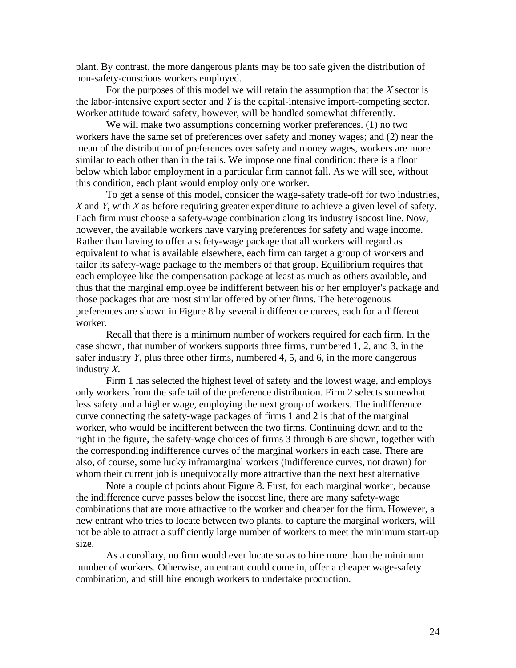plant. By contrast, the more dangerous plants may be too safe given the distribution of non-safety-conscious workers employed.

For the purposes of this model we will retain the assumption that the *X* sector is the labor-intensive export sector and *Y* is the capital-intensive import-competing sector. Worker attitude toward safety, however, will be handled somewhat differently.

We will make two assumptions concerning worker preferences. (1) no two workers have the same set of preferences over safety and money wages; and (2) near the mean of the distribution of preferences over safety and money wages, workers are more similar to each other than in the tails. We impose one final condition: there is a floor below which labor employment in a particular firm cannot fall. As we will see, without this condition, each plant would employ only one worker.

To get a sense of this model, consider the wage-safety trade-off for two industries, *X* and *Y*, with *X* as before requiring greater expenditure to achieve a given level of safety. Each firm must choose a safety-wage combination along its industry isocost line. Now, however, the available workers have varying preferences for safety and wage income. Rather than having to offer a safety-wage package that all workers will regard as equivalent to what is available elsewhere, each firm can target a group of workers and tailor its safety-wage package to the members of that group. Equilibrium requires that each employee like the compensation package at least as much as others available, and thus that the marginal employee be indifferent between his or her employer's package and those packages that are most similar offered by other firms. The heterogenous preferences are shown in Figure 8 by several indifference curves, each for a different worker.

Recall that there is a minimum number of workers required for each firm. In the case shown, that number of workers supports three firms, numbered 1, 2, and 3, in the safer industry *Y*, plus three other firms, numbered 4, 5, and 6, in the more dangerous industry *X*.

Firm 1 has selected the highest level of safety and the lowest wage, and employs only workers from the safe tail of the preference distribution. Firm 2 selects somewhat less safety and a higher wage, employing the next group of workers. The indifference curve connecting the safety-wage packages of firms 1 and 2 is that of the marginal worker, who would be indifferent between the two firms. Continuing down and to the right in the figure, the safety-wage choices of firms 3 through 6 are shown, together with the corresponding indifference curves of the marginal workers in each case. There are also, of course, some lucky inframarginal workers (indifference curves, not drawn) for whom their current job is unequivocally more attractive than the next best alternative

Note a couple of points about Figure 8. First, for each marginal worker, because the indifference curve passes below the isocost line, there are many safety-wage combinations that are more attractive to the worker and cheaper for the firm. However, a new entrant who tries to locate between two plants, to capture the marginal workers, will not be able to attract a sufficiently large number of workers to meet the minimum start-up size.

As a corollary, no firm would ever locate so as to hire more than the minimum number of workers. Otherwise, an entrant could come in, offer a cheaper wage-safety combination, and still hire enough workers to undertake production.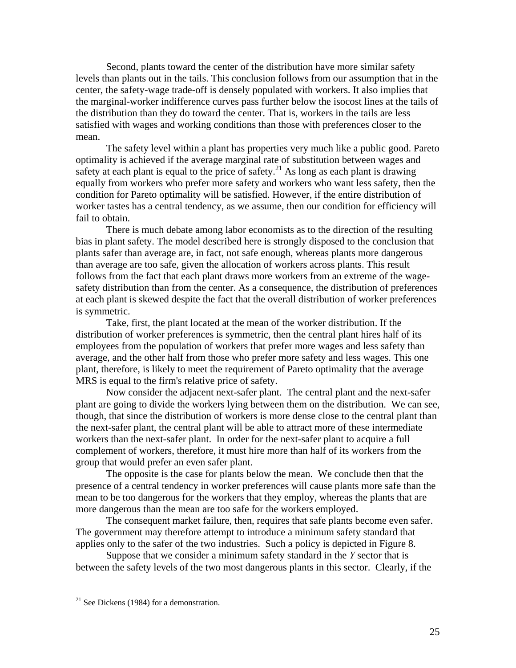Second, plants toward the center of the distribution have more similar safety levels than plants out in the tails. This conclusion follows from our assumption that in the center, the safety-wage trade-off is densely populated with workers. It also implies that the marginal-worker indifference curves pass further below the isocost lines at the tails of the distribution than they do toward the center. That is, workers in the tails are less satisfied with wages and working conditions than those with preferences closer to the mean.

The safety level within a plant has properties very much like a public good. Pareto optimality is achieved if the average marginal rate of substitution between wages and safety at each plant is equal to the price of safety.<sup>21</sup> As long as each plant is drawing equally from workers who prefer more safety and workers who want less safety, then the condition for Pareto optimality will be satisfied. However, if the entire distribution of worker tastes has a central tendency, as we assume, then our condition for efficiency will fail to obtain.

There is much debate among labor economists as to the direction of the resulting bias in plant safety. The model described here is strongly disposed to the conclusion that plants safer than average are, in fact, not safe enough, whereas plants more dangerous than average are too safe, given the allocation of workers across plants. This result follows from the fact that each plant draws more workers from an extreme of the wagesafety distribution than from the center. As a consequence, the distribution of preferences at each plant is skewed despite the fact that the overall distribution of worker preferences is symmetric.

Take, first, the plant located at the mean of the worker distribution. If the distribution of worker preferences is symmetric, then the central plant hires half of its employees from the population of workers that prefer more wages and less safety than average, and the other half from those who prefer more safety and less wages. This one plant, therefore, is likely to meet the requirement of Pareto optimality that the average MRS is equal to the firm's relative price of safety.

Now consider the adjacent next-safer plant. The central plant and the next-safer plant are going to divide the workers lying between them on the distribution. We can see, though, that since the distribution of workers is more dense close to the central plant than the next-safer plant, the central plant will be able to attract more of these intermediate workers than the next-safer plant. In order for the next-safer plant to acquire a full complement of workers, therefore, it must hire more than half of its workers from the group that would prefer an even safer plant.

The opposite is the case for plants below the mean. We conclude then that the presence of a central tendency in worker preferences will cause plants more safe than the mean to be too dangerous for the workers that they employ, whereas the plants that are more dangerous than the mean are too safe for the workers employed.

The consequent market failure, then, requires that safe plants become even safer. The government may therefore attempt to introduce a minimum safety standard that applies only to the safer of the two industries. Such a policy is depicted in Figure 8.

Suppose that we consider a minimum safety standard in the *Y* sector that is between the safety levels of the two most dangerous plants in this sector. Clearly, if the

<u>.</u>

<span id="page-25-0"></span> $21$  See Dickens (1984) for a demonstration.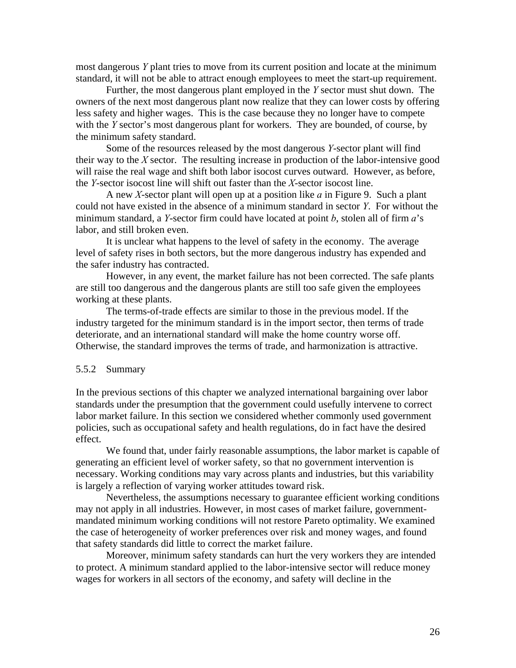most dangerous *Y* plant tries to move from its current position and locate at the minimum standard, it will not be able to attract enough employees to meet the start-up requirement.

Further, the most dangerous plant employed in the *Y* sector must shut down. The owners of the next most dangerous plant now realize that they can lower costs by offering less safety and higher wages. This is the case because they no longer have to compete with the *Y* sector's most dangerous plant for workers. They are bounded, of course, by the minimum safety standard.

Some of the resources released by the most dangerous *Y*-sector plant will find their way to the *X* sector. The resulting increase in production of the labor-intensive good will raise the real wage and shift both labor isocost curves outward. However, as before, the *Y*-sector isocost line will shift out faster than the *X*-sector isocost line.

A new *X*-sector plant will open up at a position like *a* in Figure 9. Such a plant could not have existed in the absence of a minimum standard in sector *Y*. For without the minimum standard, a *Y*-sector firm could have located at point *b*, stolen all of firm *a*'s labor, and still broken even.

It is unclear what happens to the level of safety in the economy. The average level of safety rises in both sectors, but the more dangerous industry has expended and the safer industry has contracted.

However, in any event, the market failure has not been corrected. The safe plants are still too dangerous and the dangerous plants are still too safe given the employees working at these plants.

The terms-of-trade effects are similar to those in the previous model. If the industry targeted for the minimum standard is in the import sector, then terms of trade deteriorate, and an international standard will make the home country worse off. Otherwise, the standard improves the terms of trade, and harmonization is attractive.

#### 5.5.2 Summary

In the previous sections of this chapter we analyzed international bargaining over labor standards under the presumption that the government could usefully intervene to correct labor market failure. In this section we considered whether commonly used government policies, such as occupational safety and health regulations, do in fact have the desired effect.

We found that, under fairly reasonable assumptions, the labor market is capable of generating an efficient level of worker safety, so that no government intervention is necessary. Working conditions may vary across plants and industries, but this variability is largely a reflection of varying worker attitudes toward risk.

Nevertheless, the assumptions necessary to guarantee efficient working conditions may not apply in all industries. However, in most cases of market failure, governmentmandated minimum working conditions will not restore Pareto optimality. We examined the case of heterogeneity of worker preferences over risk and money wages, and found that safety standards did little to correct the market failure.

Moreover, minimum safety standards can hurt the very workers they are intended to protect. A minimum standard applied to the labor-intensive sector will reduce money wages for workers in all sectors of the economy, and safety will decline in the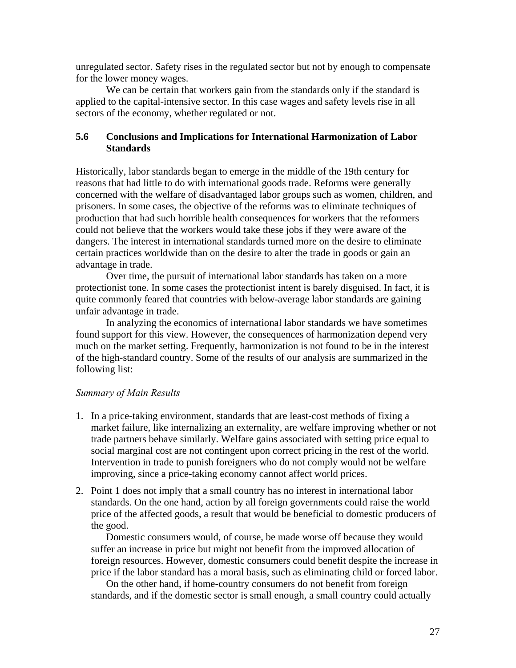unregulated sector. Safety rises in the regulated sector but not by enough to compensate for the lower money wages.

We can be certain that workers gain from the standards only if the standard is applied to the capital-intensive sector. In this case wages and safety levels rise in all sectors of the economy, whether regulated or not.

## **5.6 Conclusions and Implications for International Harmonization of Labor Standards**

Historically, labor standards began to emerge in the middle of the 19th century for reasons that had little to do with international goods trade. Reforms were generally concerned with the welfare of disadvantaged labor groups such as women, children, and prisoners. In some cases, the objective of the reforms was to eliminate techniques of production that had such horrible health consequences for workers that the reformers could not believe that the workers would take these jobs if they were aware of the dangers. The interest in international standards turned more on the desire to eliminate certain practices worldwide than on the desire to alter the trade in goods or gain an advantage in trade.

Over time, the pursuit of international labor standards has taken on a more protectionist tone. In some cases the protectionist intent is barely disguised. In fact, it is quite commonly feared that countries with below-average labor standards are gaining unfair advantage in trade.

In analyzing the economics of international labor standards we have sometimes found support for this view. However, the consequences of harmonization depend very much on the market setting. Frequently, harmonization is not found to be in the interest of the high-standard country. Some of the results of our analysis are summarized in the following list:

## *Summary of Main Results*

- 1. In a price-taking environment, standards that are least-cost methods of fixing a market failure, like internalizing an externality, are welfare improving whether or not trade partners behave similarly. Welfare gains associated with setting price equal to social marginal cost are not contingent upon correct pricing in the rest of the world. Intervention in trade to punish foreigners who do not comply would not be welfare improving, since a price-taking economy cannot affect world prices.
- 2. Point 1 does not imply that a small country has no interest in international labor standards. On the one hand, action by all foreign governments could raise the world price of the affected goods, a result that would be beneficial to domestic producers of the good.

Domestic consumers would, of course, be made worse off because they would suffer an increase in price but might not benefit from the improved allocation of foreign resources. However, domestic consumers could benefit despite the increase in price if the labor standard has a moral basis, such as eliminating child or forced labor.

On the other hand, if home-country consumers do not benefit from foreign standards, and if the domestic sector is small enough, a small country could actually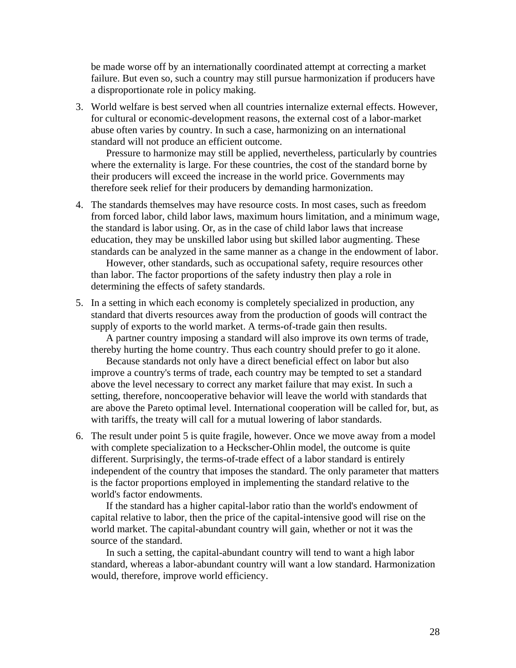be made worse off by an internationally coordinated attempt at correcting a market failure. But even so, such a country may still pursue harmonization if producers have a disproportionate role in policy making.

3. World welfare is best served when all countries internalize external effects. However, for cultural or economic-development reasons, the external cost of a labor-market abuse often varies by country. In such a case, harmonizing on an international standard will not produce an efficient outcome.

Pressure to harmonize may still be applied, nevertheless, particularly by countries where the externality is large. For these countries, the cost of the standard borne by their producers will exceed the increase in the world price. Governments may therefore seek relief for their producers by demanding harmonization.

4. The standards themselves may have resource costs. In most cases, such as freedom from forced labor, child labor laws, maximum hours limitation, and a minimum wage, the standard is labor using. Or, as in the case of child labor laws that increase education, they may be unskilled labor using but skilled labor augmenting. These standards can be analyzed in the same manner as a change in the endowment of labor.

However, other standards, such as occupational safety, require resources other than labor. The factor proportions of the safety industry then play a role in determining the effects of safety standards.

5. In a setting in which each economy is completely specialized in production, any standard that diverts resources away from the production of goods will contract the supply of exports to the world market. A terms-of-trade gain then results.

A partner country imposing a standard will also improve its own terms of trade, thereby hurting the home country. Thus each country should prefer to go it alone.

Because standards not only have a direct beneficial effect on labor but also improve a country's terms of trade, each country may be tempted to set a standard above the level necessary to correct any market failure that may exist. In such a setting, therefore, noncooperative behavior will leave the world with standards that are above the Pareto optimal level. International cooperation will be called for, but, as with tariffs, the treaty will call for a mutual lowering of labor standards.

6. The result under point 5 is quite fragile, however. Once we move away from a model with complete specialization to a Heckscher-Ohlin model, the outcome is quite different. Surprisingly, the terms-of-trade effect of a labor standard is entirely independent of the country that imposes the standard. The only parameter that matters is the factor proportions employed in implementing the standard relative to the world's factor endowments.

If the standard has a higher capital-labor ratio than the world's endowment of capital relative to labor, then the price of the capital-intensive good will rise on the world market. The capital-abundant country will gain, whether or not it was the source of the standard.

In such a setting, the capital-abundant country will tend to want a high labor standard, whereas a labor-abundant country will want a low standard. Harmonization would, therefore, improve world efficiency.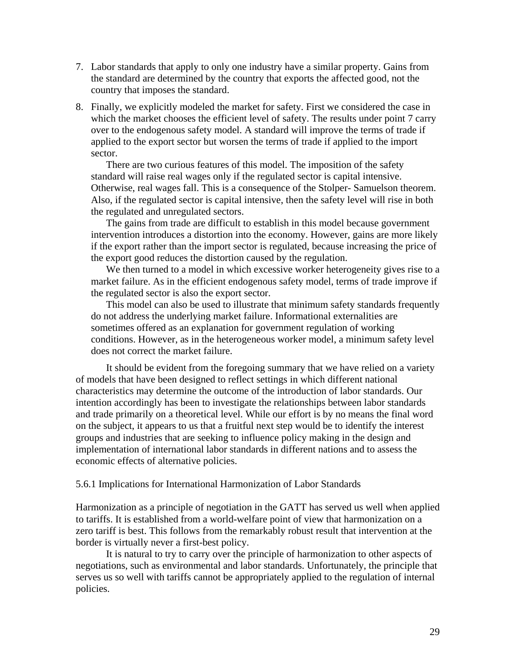- 7. Labor standards that apply to only one industry have a similar property. Gains from the standard are determined by the country that exports the affected good, not the country that imposes the standard.
- 8. Finally, we explicitly modeled the market for safety. First we considered the case in which the market chooses the efficient level of safety. The results under point 7 carry over to the endogenous safety model. A standard will improve the terms of trade if applied to the export sector but worsen the terms of trade if applied to the import sector.

There are two curious features of this model. The imposition of the safety standard will raise real wages only if the regulated sector is capital intensive. Otherwise, real wages fall. This is a consequence of the Stolper- Samuelson theorem. Also, if the regulated sector is capital intensive, then the safety level will rise in both the regulated and unregulated sectors.

The gains from trade are difficult to establish in this model because government intervention introduces a distortion into the economy. However, gains are more likely if the export rather than the import sector is regulated, because increasing the price of the export good reduces the distortion caused by the regulation.

We then turned to a model in which excessive worker heterogeneity gives rise to a market failure. As in the efficient endogenous safety model, terms of trade improve if the regulated sector is also the export sector.

This model can also be used to illustrate that minimum safety standards frequently do not address the underlying market failure. Informational externalities are sometimes offered as an explanation for government regulation of working conditions. However, as in the heterogeneous worker model, a minimum safety level does not correct the market failure.

It should be evident from the foregoing summary that we have relied on a variety of models that have been designed to reflect settings in which different national characteristics may determine the outcome of the introduction of labor standards. Our intention accordingly has been to investigate the relationships between labor standards and trade primarily on a theoretical level. While our effort is by no means the final word on the subject, it appears to us that a fruitful next step would be to identify the interest groups and industries that are seeking to influence policy making in the design and implementation of international labor standards in different nations and to assess the economic effects of alternative policies.

#### 5.6.1 Implications for International Harmonization of Labor Standards

Harmonization as a principle of negotiation in the GATT has served us well when applied to tariffs. It is established from a world-welfare point of view that harmonization on a zero tariff is best. This follows from the remarkably robust result that intervention at the border is virtually never a first-best policy.

It is natural to try to carry over the principle of harmonization to other aspects of negotiations, such as environmental and labor standards. Unfortunately, the principle that serves us so well with tariffs cannot be appropriately applied to the regulation of internal policies.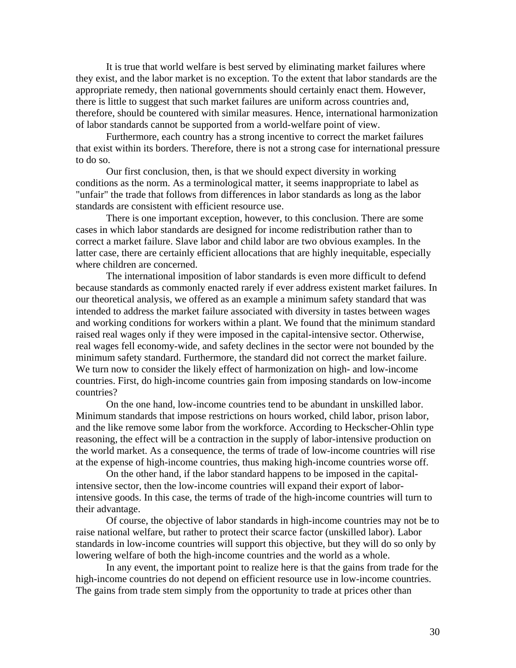It is true that world welfare is best served by eliminating market failures where they exist, and the labor market is no exception. To the extent that labor standards are the appropriate remedy, then national governments should certainly enact them. However, there is little to suggest that such market failures are uniform across countries and, therefore, should be countered with similar measures. Hence, international harmonization of labor standards cannot be supported from a world-welfare point of view.

Furthermore, each country has a strong incentive to correct the market failures that exist within its borders. Therefore, there is not a strong case for international pressure to do so.

Our first conclusion, then, is that we should expect diversity in working conditions as the norm. As a terminological matter, it seems inappropriate to label as "unfair" the trade that follows from differences in labor standards as long as the labor standards are consistent with efficient resource use.

There is one important exception, however, to this conclusion. There are some cases in which labor standards are designed for income redistribution rather than to correct a market failure. Slave labor and child labor are two obvious examples. In the latter case, there are certainly efficient allocations that are highly inequitable, especially where children are concerned.

The international imposition of labor standards is even more difficult to defend because standards as commonly enacted rarely if ever address existent market failures. In our theoretical analysis, we offered as an example a minimum safety standard that was intended to address the market failure associated with diversity in tastes between wages and working conditions for workers within a plant. We found that the minimum standard raised real wages only if they were imposed in the capital-intensive sector. Otherwise, real wages fell economy-wide, and safety declines in the sector were not bounded by the minimum safety standard. Furthermore, the standard did not correct the market failure. We turn now to consider the likely effect of harmonization on high- and low-income countries. First, do high-income countries gain from imposing standards on low-income countries?

On the one hand, low-income countries tend to be abundant in unskilled labor. Minimum standards that impose restrictions on hours worked, child labor, prison labor, and the like remove some labor from the workforce. According to Heckscher-Ohlin type reasoning, the effect will be a contraction in the supply of labor-intensive production on the world market. As a consequence, the terms of trade of low-income countries will rise at the expense of high-income countries, thus making high-income countries worse off.

On the other hand, if the labor standard happens to be imposed in the capitalintensive sector, then the low-income countries will expand their export of laborintensive goods. In this case, the terms of trade of the high-income countries will turn to their advantage.

Of course, the objective of labor standards in high-income countries may not be to raise national welfare, but rather to protect their scarce factor (unskilled labor). Labor standards in low-income countries will support this objective, but they will do so only by lowering welfare of both the high-income countries and the world as a whole.

In any event, the important point to realize here is that the gains from trade for the high-income countries do not depend on efficient resource use in low-income countries. The gains from trade stem simply from the opportunity to trade at prices other than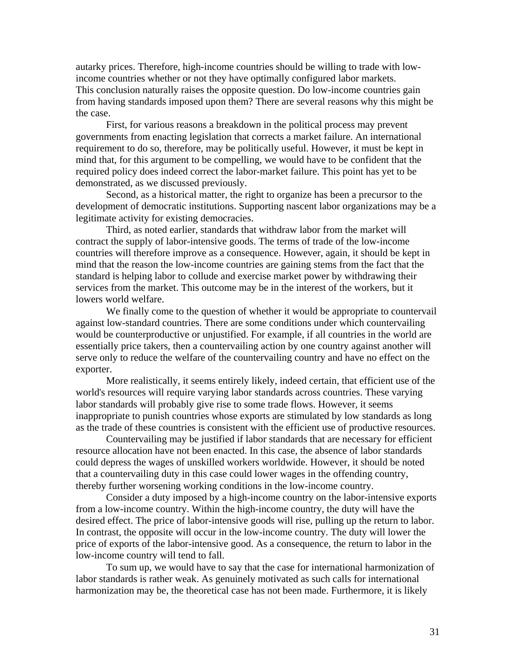autarky prices. Therefore, high-income countries should be willing to trade with lowincome countries whether or not they have optimally configured labor markets. This conclusion naturally raises the opposite question. Do low-income countries gain from having standards imposed upon them? There are several reasons why this might be the case.

First, for various reasons a breakdown in the political process may prevent governments from enacting legislation that corrects a market failure. An international requirement to do so, therefore, may be politically useful. However, it must be kept in mind that, for this argument to be compelling, we would have to be confident that the required policy does indeed correct the labor-market failure. This point has yet to be demonstrated, as we discussed previously.

Second, as a historical matter, the right to organize has been a precursor to the development of democratic institutions. Supporting nascent labor organizations may be a legitimate activity for existing democracies.

Third, as noted earlier, standards that withdraw labor from the market will contract the supply of labor-intensive goods. The terms of trade of the low-income countries will therefore improve as a consequence. However, again, it should be kept in mind that the reason the low-income countries are gaining stems from the fact that the standard is helping labor to collude and exercise market power by withdrawing their services from the market. This outcome may be in the interest of the workers, but it lowers world welfare.

We finally come to the question of whether it would be appropriate to countervail against low-standard countries. There are some conditions under which countervailing would be counterproductive or unjustified. For example, if all countries in the world are essentially price takers, then a countervailing action by one country against another will serve only to reduce the welfare of the countervailing country and have no effect on the exporter.

More realistically, it seems entirely likely, indeed certain, that efficient use of the world's resources will require varying labor standards across countries. These varying labor standards will probably give rise to some trade flows. However, it seems inappropriate to punish countries whose exports are stimulated by low standards as long as the trade of these countries is consistent with the efficient use of productive resources.

Countervailing may be justified if labor standards that are necessary for efficient resource allocation have not been enacted. In this case, the absence of labor standards could depress the wages of unskilled workers worldwide. However, it should be noted that a countervailing duty in this case could lower wages in the offending country, thereby further worsening working conditions in the low-income country.

Consider a duty imposed by a high-income country on the labor-intensive exports from a low-income country. Within the high-income country, the duty will have the desired effect. The price of labor-intensive goods will rise, pulling up the return to labor. In contrast, the opposite will occur in the low-income country. The duty will lower the price of exports of the labor-intensive good. As a consequence, the return to labor in the low-income country will tend to fall.

To sum up, we would have to say that the case for international harmonization of labor standards is rather weak. As genuinely motivated as such calls for international harmonization may be, the theoretical case has not been made. Furthermore, it is likely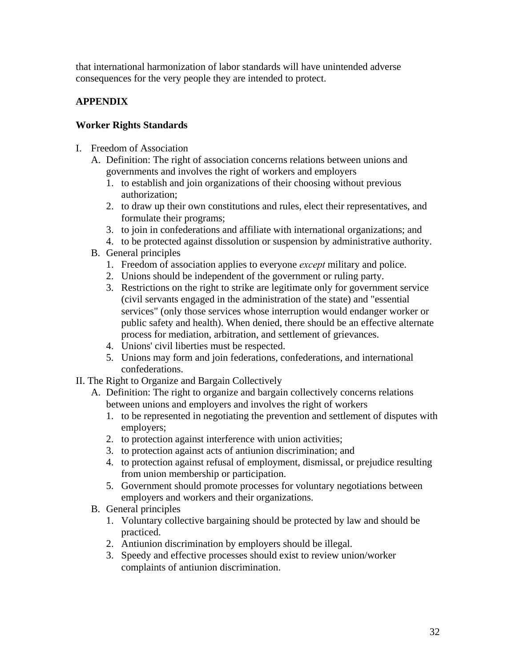that international harmonization of labor standards will have unintended adverse consequences for the very people they are intended to protect.

## **APPENDIX**

## **Worker Rights Standards**

- I. Freedom of Association
	- A. Definition: The right of association concerns relations between unions and governments and involves the right of workers and employers
		- 1. to establish and join organizations of their choosing without previous authorization;
		- 2. to draw up their own constitutions and rules, elect their representatives, and formulate their programs;
		- 3. to join in confederations and affiliate with international organizations; and
		- 4. to be protected against dissolution or suspension by administrative authority.
	- B. General principles
		- 1. Freedom of association applies to everyone *except* military and police.
		- 2. Unions should be independent of the government or ruling party.
		- 3. Restrictions on the right to strike are legitimate only for government service (civil servants engaged in the administration of the state) and "essential services" (only those services whose interruption would endanger worker or public safety and health). When denied, there should be an effective alternate process for mediation, arbitration, and settlement of grievances.
		- 4. Unions' civil liberties must be respected.
		- 5. Unions may form and join federations, confederations, and international confederations.
- II. The Right to Organize and Bargain Collectively
	- A. Definition: The right to organize and bargain collectively concerns relations between unions and employers and involves the right of workers
		- 1. to be represented in negotiating the prevention and settlement of disputes with employers;
		- 2. to protection against interference with union activities;
		- 3. to protection against acts of antiunion discrimination; and
		- 4. to protection against refusal of employment, dismissal, or prejudice resulting from union membership or participation.
		- 5. Government should promote processes for voluntary negotiations between employers and workers and their organizations.
	- B. General principles
		- 1. Voluntary collective bargaining should be protected by law and should be practiced.
		- 2. Antiunion discrimination by employers should be illegal.
		- 3. Speedy and effective processes should exist to review union/worker complaints of antiunion discrimination.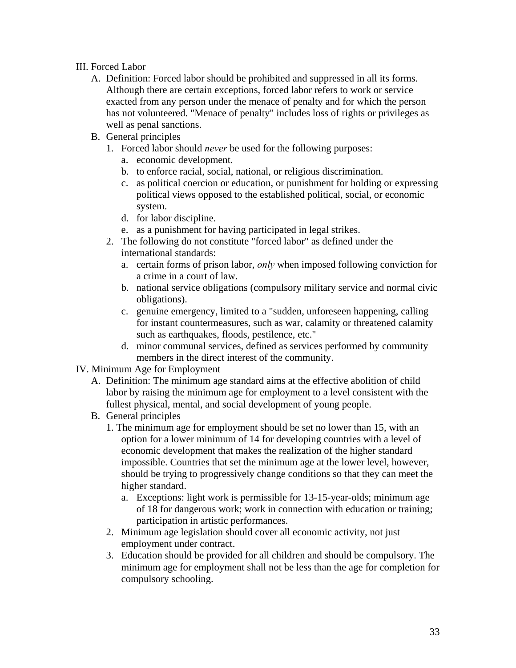## III. Forced Labor

A. Definition: Forced labor should be prohibited and suppressed in all its forms. Although there are certain exceptions, forced labor refers to work or service exacted from any person under the menace of penalty and for which the person has not volunteered. "Menace of penalty" includes loss of rights or privileges as well as penal sanctions.

## B. General principles

- 1. Forced labor should *never* be used for the following purposes:
	- a. economic development.
	- b. to enforce racial, social, national, or religious discrimination.
	- c. as political coercion or education, or punishment for holding or expressing political views opposed to the established political, social, or economic system.
	- d. for labor discipline.
	- e. as a punishment for having participated in legal strikes.
- 2. The following do not constitute "forced labor" as defined under the international standards:
	- a. certain forms of prison labor, *only* when imposed following conviction for a crime in a court of law.
	- b. national service obligations (compulsory military service and normal civic obligations).
	- c. genuine emergency, limited to a "sudden, unforeseen happening, calling for instant countermeasures, such as war, calamity or threatened calamity such as earthquakes, floods, pestilence, etc."
	- d. minor communal services, defined as services performed by community members in the direct interest of the community.

## IV. Minimum Age for Employment

- A. Definition: The minimum age standard aims at the effective abolition of child labor by raising the minimum age for employment to a level consistent with the fullest physical, mental, and social development of young people.
- B. General principles
	- 1. The minimum age for employment should be set no lower than 15, with an option for a lower minimum of 14 for developing countries with a level of economic development that makes the realization of the higher standard impossible. Countries that set the minimum age at the lower level, however, should be trying to progressively change conditions so that they can meet the higher standard.
		- a. Exceptions: light work is permissible for 13-15-year-olds; minimum age of 18 for dangerous work; work in connection with education or training; participation in artistic performances.
	- 2. Minimum age legislation should cover all economic activity, not just employment under contract.
	- 3. Education should be provided for all children and should be compulsory. The minimum age for employment shall not be less than the age for completion for compulsory schooling.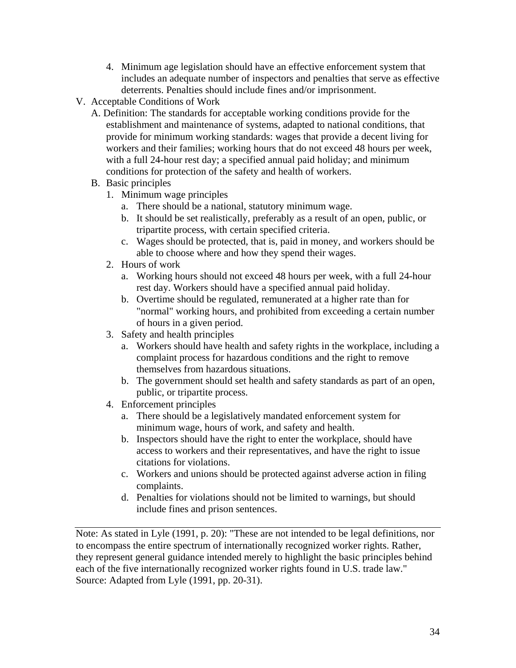- 4. Minimum age legislation should have an effective enforcement system that includes an adequate number of inspectors and penalties that serve as effective deterrents. Penalties should include fines and/or imprisonment.
- V. Acceptable Conditions of Work
	- A. Definition: The standards for acceptable working conditions provide for the establishment and maintenance of systems, adapted to national conditions, that provide for minimum working standards: wages that provide a decent living for workers and their families; working hours that do not exceed 48 hours per week, with a full 24-hour rest day; a specified annual paid holiday; and minimum conditions for protection of the safety and health of workers.
	- B. Basic principles
		- 1. Minimum wage principles
			- a. There should be a national, statutory minimum wage.
			- b. It should be set realistically, preferably as a result of an open, public, or tripartite process, with certain specified criteria.
			- c. Wages should be protected, that is, paid in money, and workers should be able to choose where and how they spend their wages.
		- 2. Hours of work
			- a. Working hours should not exceed 48 hours per week, with a full 24-hour rest day. Workers should have a specified annual paid holiday.
			- b. Overtime should be regulated, remunerated at a higher rate than for "normal" working hours, and prohibited from exceeding a certain number of hours in a given period.
		- 3. Safety and health principles
			- a. Workers should have health and safety rights in the workplace, including a complaint process for hazardous conditions and the right to remove themselves from hazardous situations.
			- b. The government should set health and safety standards as part of an open, public, or tripartite process.
		- 4. Enforcement principles
			- a. There should be a legislatively mandated enforcement system for minimum wage, hours of work, and safety and health.
			- b. Inspectors should have the right to enter the workplace, should have access to workers and their representatives, and have the right to issue citations for violations.
			- c. Workers and unions should be protected against adverse action in filing complaints.
			- d. Penalties for violations should not be limited to warnings, but should include fines and prison sentences.

Note: As stated in Lyle (1991, p. 20): "These are not intended to be legal definitions, nor to encompass the entire spectrum of internationally recognized worker rights. Rather, they represent general guidance intended merely to highlight the basic principles behind each of the five internationally recognized worker rights found in U.S. trade law." Source: Adapted from Lyle (1991, pp. 20-31).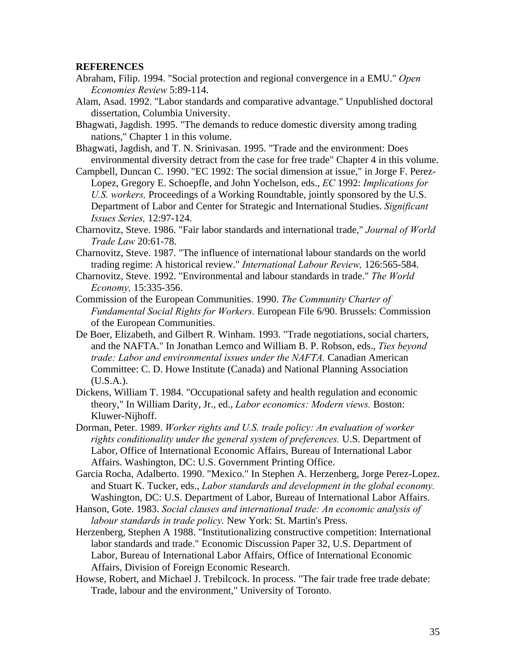#### **REFERENCES**

- Abraham, Filip. 1994. "Social protection and regional convergence in a EMU." *Open Economies Review* 5:89-114.
- Alam, Asad. 1992. "Labor standards and comparative advantage." Unpublished doctoral dissertation, Columbia University.
- Bhagwati, Jagdish. 1995. "The demands to reduce domestic diversity among trading nations," Chapter 1 in this volume.
- Bhagwati, Jagdish, and T. N. Srinivasan. 1995. "Trade and the environment: Does environmental diversity detract from the case for free trade" Chapter 4 in this volume.
- Campbell, Duncan C. 1990. "EC 1992: The social dimension at issue," in Jorge F. Perez-Lopez, Gregory E. Schoepfle, and John Yochelson, eds., *EC* 1992: *Implications for U.S. workers,* Proceedings of a Working Roundtable, jointly sponsored by the U.S. Department of Labor and Center for Strategic and International Studies. *Significant Issues Series,* 12:97-124.
- Charnovitz, Steve. 1986. "Fair labor standards and international trade," *Journal of World Trade Law* 20:61-78.
- Charnovitz, Steve. 1987. "The influence of international labour standards on the world trading regime: A historical review." *International Labour Review,* 126:565-584.
- Charnovitz, Steve. 1992. "Environmental and labour standards in trade." *The World Economy,* 15:335-356.
- Commission of the European Communities. 1990. *The Community Charter of Fundamental Social Rights for Workers.* European File 6/90. Brussels: Commission of the European Communities.
- De Boer, Elizabeth, and Gilbert R. Winham. 1993. "Trade negotiations, social charters, and the NAFTA." In Jonathan Lemco and William B. P. Robson, eds., *Ties beyond trade: Labor and environmental issues under the NAFTA.* Canadian American Committee: C. D. Howe Institute (Canada) and National Planning Association (U.S.A.).
- Dickens, William T. 1984. "Occupational safety and health regulation and economic theory," In William Darity, Jr., ed., *Labor economics: Modern views.* Boston: Kluwer-Nijhoff.
- Dorman, Peter. 1989. *Worker rights and U.S. trade policy: An evaluation of worker rights conditionality under the general system of preferences.* U.S. Department of Labor, Office of International Economic Affairs, Bureau of International Labor Affairs. Washington, DC: U.S. Government Printing Office.
- Garcia Rocha, Adalberto. 1990. "Mexico." In Stephen A. Herzenberg, Jorge Perez-Lopez. and Stuart K. Tucker, eds., *Labor standards and development in the global economy.*  Washington, DC: U.S. Department of Labor, Bureau of International Labor Affairs.
- Hanson, Gote. 1983. *Social clauses and international trade: An economic analysis of labour standards in trade policy.* New York: St. Martin's Press.
- Herzenberg, Stephen A 1988. "Institutionalizing constructive competition: International labor standards and trade." Economic Discussion Paper 32, U.S. Department of Labor, Bureau of International Labor Affairs, Office of International Economic Affairs, Division of Foreign Economic Research.
- Howse, Robert, and Michael J. Trebilcock. In process. "The fair trade free trade debate: Trade, labour and the environment," University of Toronto.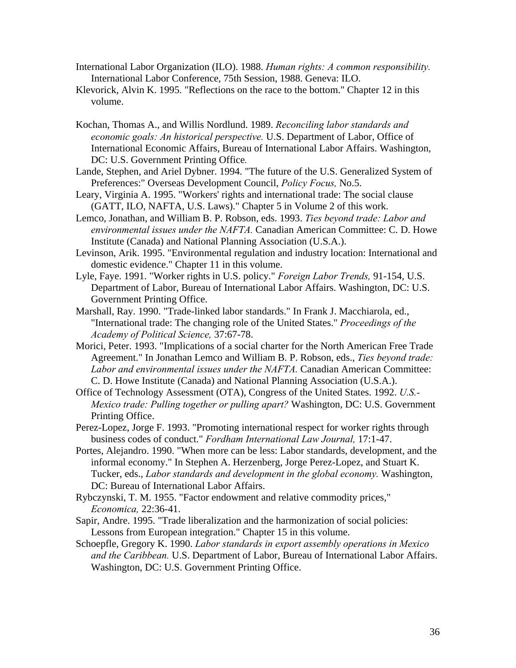- International Labor Organization (ILO). 1988. *Human rights: A common responsibility.*  International Labor Conference, 75th Session, 1988. Geneva: ILO.
- Klevorick, Alvin K. 1995. "Reflections on the race to the bottom." Chapter 12 in this volume.
- Kochan, Thomas A., and Willis Nordlund. 1989. *Reconciling labor standards and economic goals: An historical perspective.* U.S. Department of Labor, Office of International Economic Affairs, Bureau of International Labor Affairs. Washington, DC: U.S. Government Printing Office*.*
- Lande, Stephen, and Ariel Dybner. 1994. "The future of the U.S. Generalized System of Preferences:" Overseas Development Council, *Policy Focus,* No.5.
- Leary, Virginia A. 1995. "Workers' rights and international trade: The social clause (GATT, ILO, NAFTA, U.S. Laws)." Chapter 5 in Volume 2 of this work.
- Lemco, Jonathan, and William B. P. Robson, eds. 1993. *Ties beyond trade: Labor and environmental issues under the NAFTA.* Canadian American Committee: C. D. Howe Institute (Canada) and National Planning Association (U.S.A.).
- Levinson, Arik. 1995. "Environmental regulation and industry location: International and domestic evidence." Chapter 11 in this volume.
- Lyle, Faye. 1991. "Worker rights in U.S. policy." *Foreign Labor Trends,* 91-154, U.S. Department of Labor, Bureau of International Labor Affairs. Washington, DC: U.S. Government Printing Office.
- Marshall, Ray. 1990. "Trade-linked labor standards." In Frank J. Macchiarola, ed., "International trade: The changing role of the United States." *Proceedings of the Academy of Political Science,* 37:67-78.
- Morici, Peter. 1993. "Implications of a social charter for the North American Free Trade Agreement." In Jonathan Lemco and William B. P. Robson, eds., *Ties beyond trade: Labor and environmental issues under the NAFTA.* Canadian American Committee: C. D. Howe Institute (Canada) and National Planning Association (U.S.A.).
- Office of Technology Assessment (OTA), Congress of the United States. 1992. *U.S.- Mexico trade: Pulling together or pulling apart?* Washington, DC: U.S. Government Printing Office.
- Perez-Lopez, Jorge F. 1993. "Promoting international respect for worker rights through business codes of conduct." *Fordham International Law Journal,* 17:1-47.
- Portes, Alejandro. 1990. "When more can be less: Labor standards, development, and the informal economy." In Stephen A. Herzenberg, Jorge Perez-Lopez, and Stuart K. Tucker, eds., *Labor standards and development in the global economy.* Washington, DC: Bureau of International Labor Affairs.
- Rybczynski, T. M. 1955. "Factor endowment and relative commodity prices," *Economica,* 22:36-41.
- Sapir, Andre. 1995. "Trade liberalization and the harmonization of social policies: Lessons from European integration." Chapter 15 in this volume.
- Schoepfle, Gregory K. 1990. *Labor standards in export assembly operations in Mexico and the Caribbean.* U.S. Department of Labor, Bureau of International Labor Affairs. Washington, DC: U.S. Government Printing Office.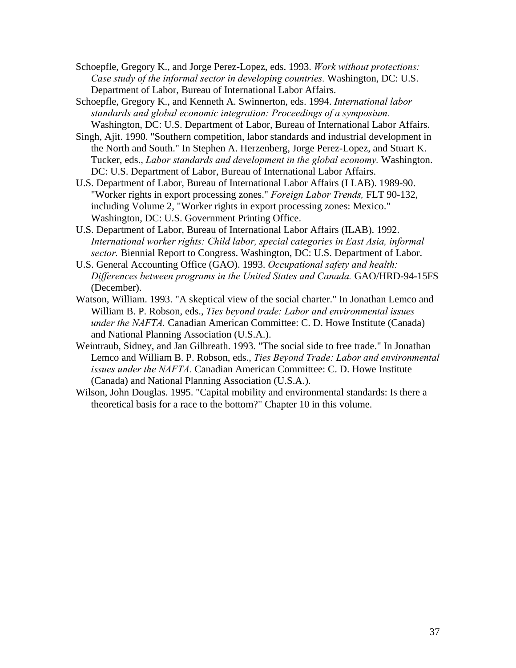- Schoepfle, Gregory K., and Jorge Perez-Lopez, eds. 1993. *Work without protections: Case study of the informal sector in developing countries.* Washington, DC: U.S. Department of Labor, Bureau of International Labor Affairs.
- Schoepfle, Gregory K., and Kenneth A. Swinnerton, eds. 1994. *International labor standards and global economic integration: Proceedings of a symposium.*  Washington, DC: U.S. Department of Labor, Bureau of International Labor Affairs.
- Singh, Ajit. 1990. "Southern competition, labor standards and industrial development in the North and South." In Stephen A. Herzenberg, Jorge Perez-Lopez, and Stuart K. Tucker, eds., *Labor standards and development in the global economy.* Washington. DC: U.S. Department of Labor, Bureau of International Labor Affairs.
- U.S. Department of Labor, Bureau of International Labor Affairs (I LAB). 1989-90. "Worker rights in export processing zones." *Foreign Labor Trends,* FLT 90-132, including Volume 2, "Worker rights in export processing zones: Mexico." Washington, DC: U.S. Government Printing Office.
- U.S. Department of Labor, Bureau of International Labor Affairs (ILAB). 1992. *International worker rights: Child labor, special categories in East Asia, informal sector.* Biennial Report to Congress. Washington, DC: U.S. Department of Labor.
- U.S. General Accounting Office (GAO). 1993. *Occupational safety and health: Differences between programs in the United States and Canada.* GAO/HRD-94-15FS (December).
- Watson, William. 1993. "A skeptical view of the social charter." In Jonathan Lemco and William B. P. Robson, eds., *Ties beyond trade: Labor and environmental issues under the NAFTA.* Canadian American Committee: C. D. Howe Institute (Canada) and National Planning Association (U.S.A.).
- Weintraub, Sidney, and Jan Gilbreath. 1993. "The social side to free trade." In Jonathan Lemco and William B. P. Robson, eds., *Ties Beyond Trade: Labor and environmental issues under the NAFTA.* Canadian American Committee: C. D. Howe Institute (Canada) and National Planning Association (U.S.A.).
- Wilson, John Douglas. 1995. "Capital mobility and environmental standards: Is there a theoretical basis for a race to the bottom?" Chapter 10 in this volume.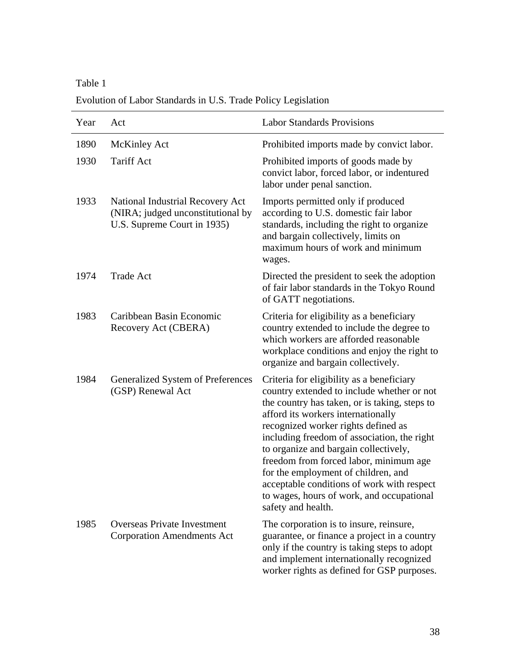Table 1

| Evolution of Labor Standards in U.S. Trade Policy Legislation |
|---------------------------------------------------------------|
|---------------------------------------------------------------|

| Year | Act                                                                                                  | <b>Labor Standards Provisions</b>                                                                                                                                                                                                                                                                                                                                                                                                                                                                               |
|------|------------------------------------------------------------------------------------------------------|-----------------------------------------------------------------------------------------------------------------------------------------------------------------------------------------------------------------------------------------------------------------------------------------------------------------------------------------------------------------------------------------------------------------------------------------------------------------------------------------------------------------|
| 1890 | <b>McKinley Act</b>                                                                                  | Prohibited imports made by convict labor.                                                                                                                                                                                                                                                                                                                                                                                                                                                                       |
| 1930 | <b>Tariff Act</b>                                                                                    | Prohibited imports of goods made by<br>convict labor, forced labor, or indentured<br>labor under penal sanction.                                                                                                                                                                                                                                                                                                                                                                                                |
| 1933 | National Industrial Recovery Act<br>(NIRA; judged unconstitutional by<br>U.S. Supreme Court in 1935) | Imports permitted only if produced<br>according to U.S. domestic fair labor<br>standards, including the right to organize<br>and bargain collectively, limits on<br>maximum hours of work and minimum<br>wages.                                                                                                                                                                                                                                                                                                 |
| 1974 | <b>Trade Act</b>                                                                                     | Directed the president to seek the adoption<br>of fair labor standards in the Tokyo Round<br>of GATT negotiations.                                                                                                                                                                                                                                                                                                                                                                                              |
| 1983 | Caribbean Basin Economic<br>Recovery Act (CBERA)                                                     | Criteria for eligibility as a beneficiary<br>country extended to include the degree to<br>which workers are afforded reasonable<br>workplace conditions and enjoy the right to<br>organize and bargain collectively.                                                                                                                                                                                                                                                                                            |
| 1984 | Generalized System of Preferences<br>(GSP) Renewal Act                                               | Criteria for eligibility as a beneficiary<br>country extended to include whether or not<br>the country has taken, or is taking, steps to<br>afford its workers internationally<br>recognized worker rights defined as<br>including freedom of association, the right<br>to organize and bargain collectively,<br>freedom from forced labor, minimum age<br>for the employment of children, and<br>acceptable conditions of work with respect<br>to wages, hours of work, and occupational<br>safety and health. |
| 1985 | <b>Overseas Private Investment</b><br><b>Corporation Amendments Act</b>                              | The corporation is to insure, reinsure,<br>guarantee, or finance a project in a country<br>only if the country is taking steps to adopt<br>and implement internationally recognized<br>worker rights as defined for GSP purposes.                                                                                                                                                                                                                                                                               |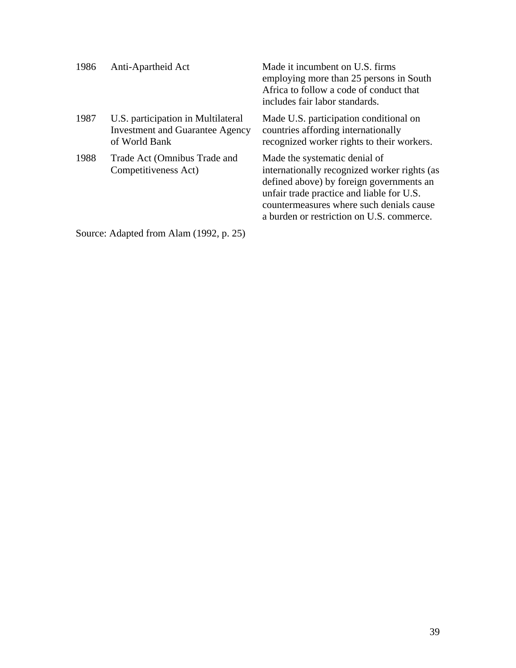| 1986 | Anti-Apartheid Act                                                                            | Made it incumbent on U.S. firms<br>employing more than 25 persons in South<br>Africa to follow a code of conduct that<br>includes fair labor standards.                                                                                                         |
|------|-----------------------------------------------------------------------------------------------|-----------------------------------------------------------------------------------------------------------------------------------------------------------------------------------------------------------------------------------------------------------------|
| 1987 | U.S. participation in Multilateral<br><b>Investment and Guarantee Agency</b><br>of World Bank | Made U.S. participation conditional on<br>countries affording internationally<br>recognized worker rights to their workers.                                                                                                                                     |
| 1988 | Trade Act (Omnibus Trade and<br>Competitiveness Act)                                          | Made the systematic denial of<br>internationally recognized worker rights (as<br>defined above) by foreign governments an<br>unfair trade practice and liable for U.S.<br>countermeasures where such denials cause<br>a burden or restriction on U.S. commerce. |

Source: Adapted from Alam (1992, p. 25)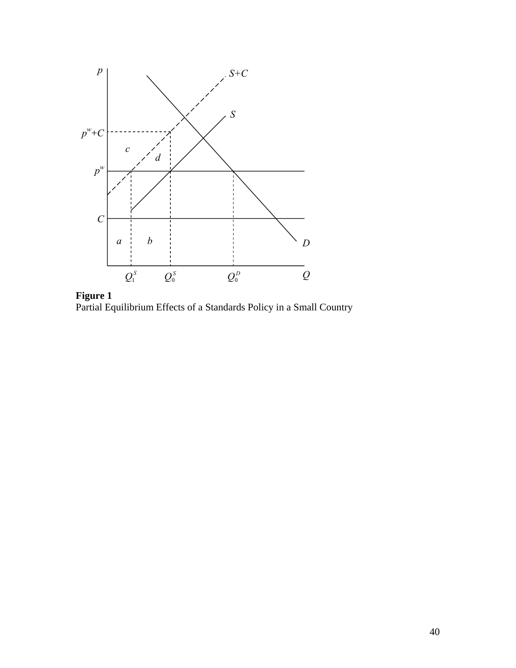

**Figure 1**  Partial Equilibrium Effects of a Standards Policy in a Small Country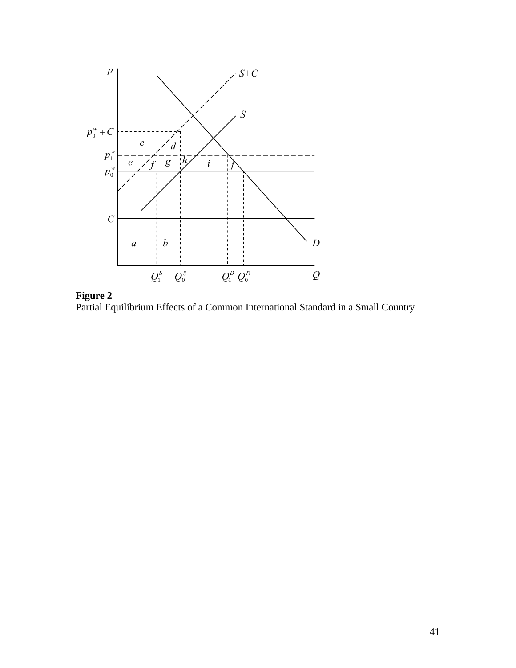

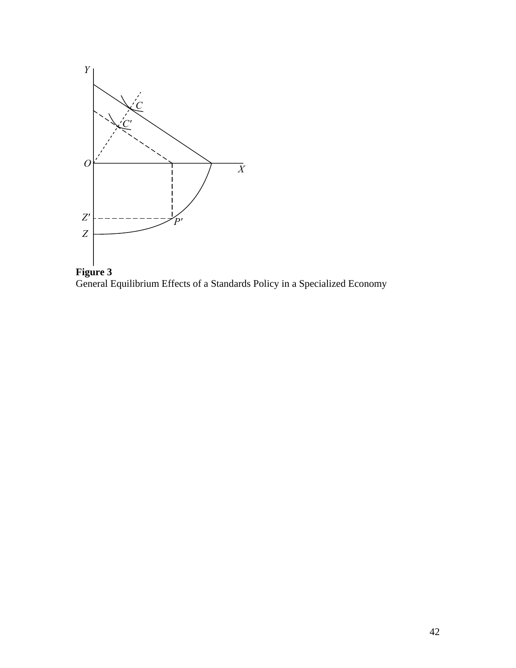

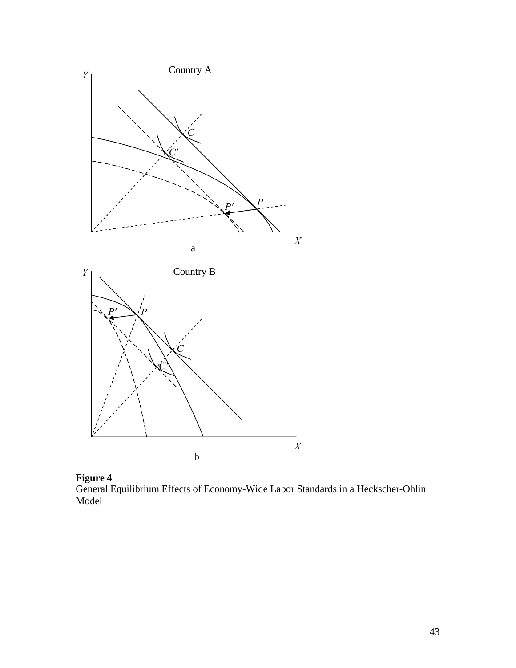

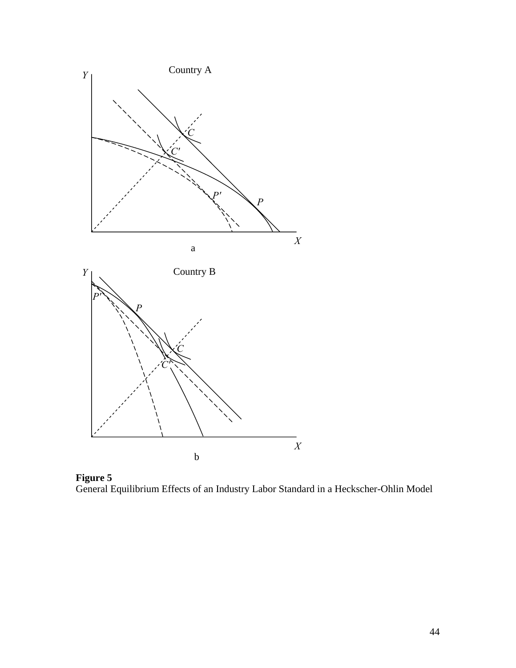

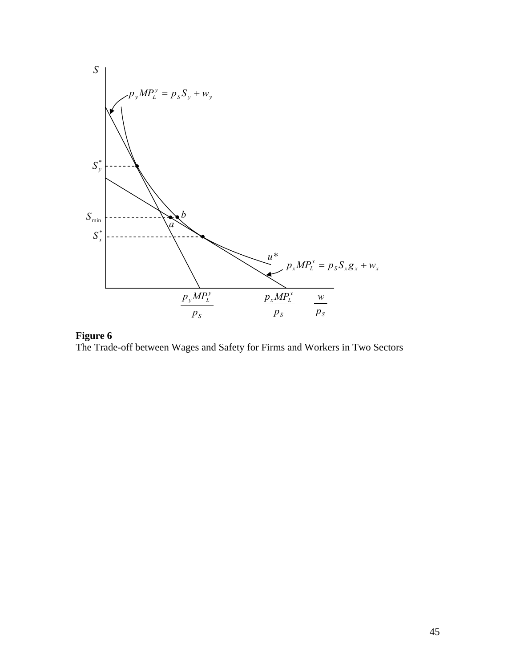

# **Figure 6**

The Trade-off between Wages and Safety for Firms and Workers in Two Sectors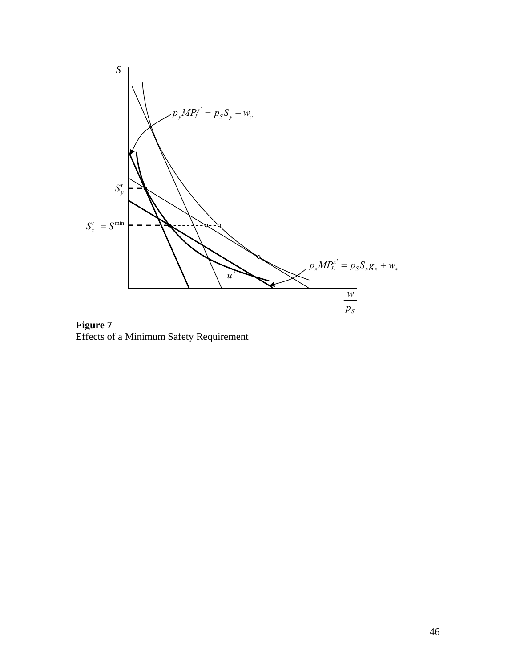

**Figure 7**  Effects of a Minimum Safety Requirement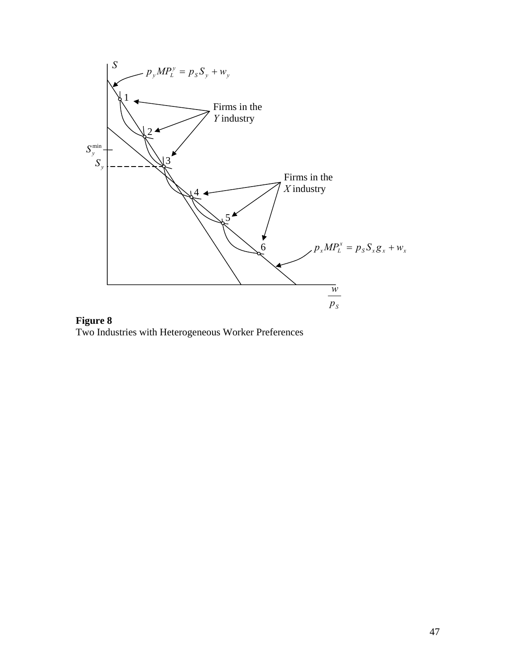

**Figure 8**  Two Industries with Heterogeneous Worker Preferences